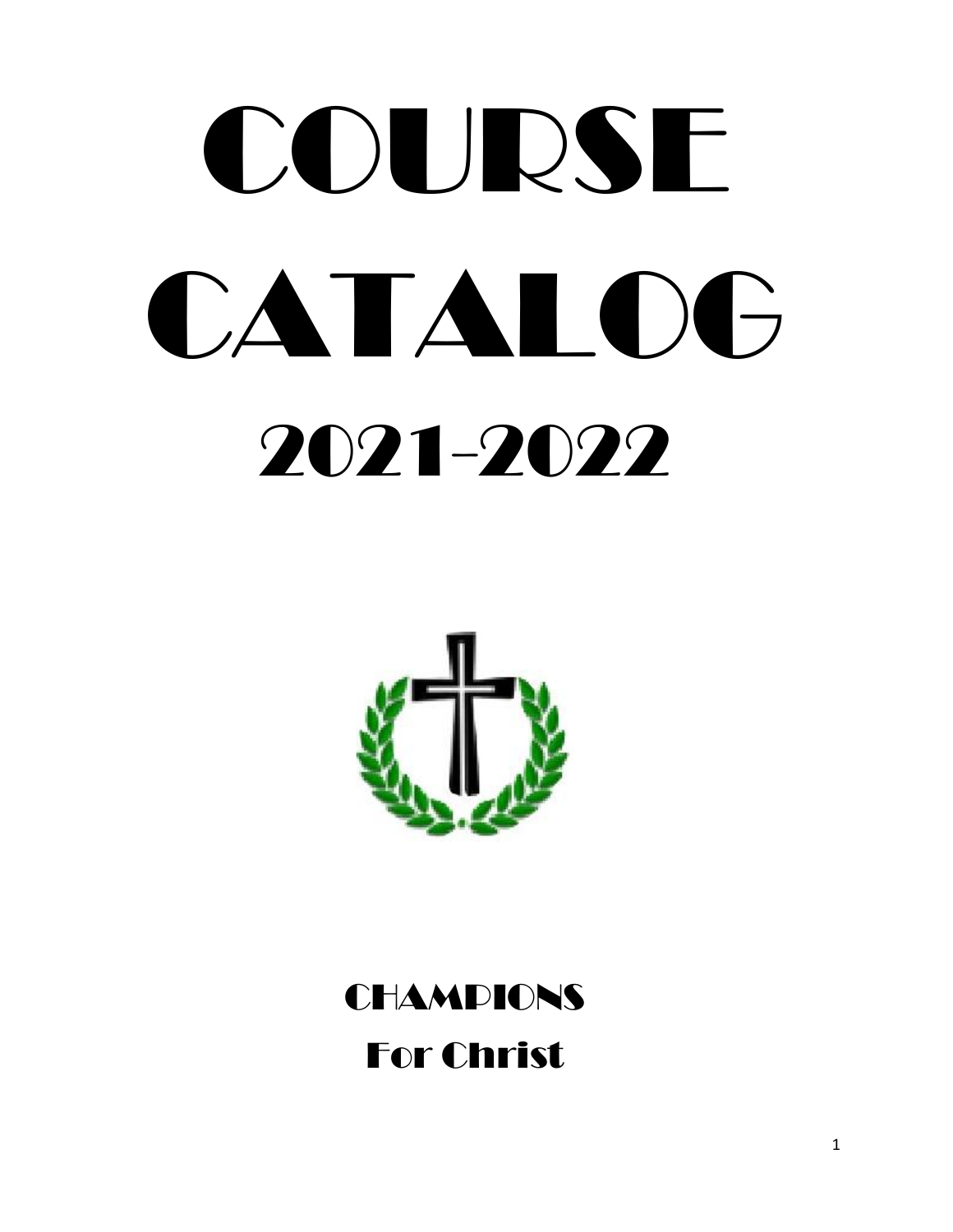# COURSE CATALOG 2021-2022



# **CHAMPIONS** For Christ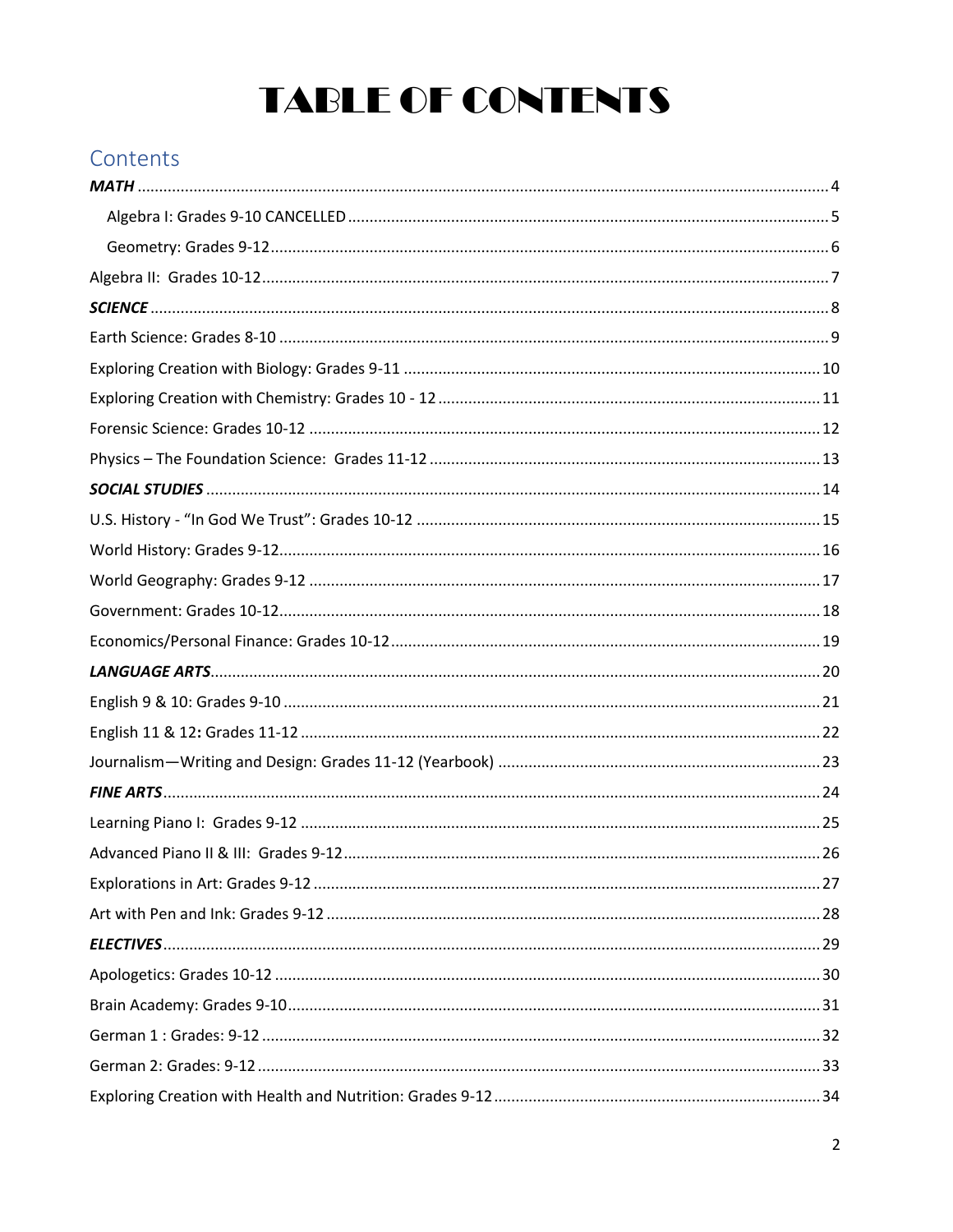## **TABLE OF CONTENTS**

## Contents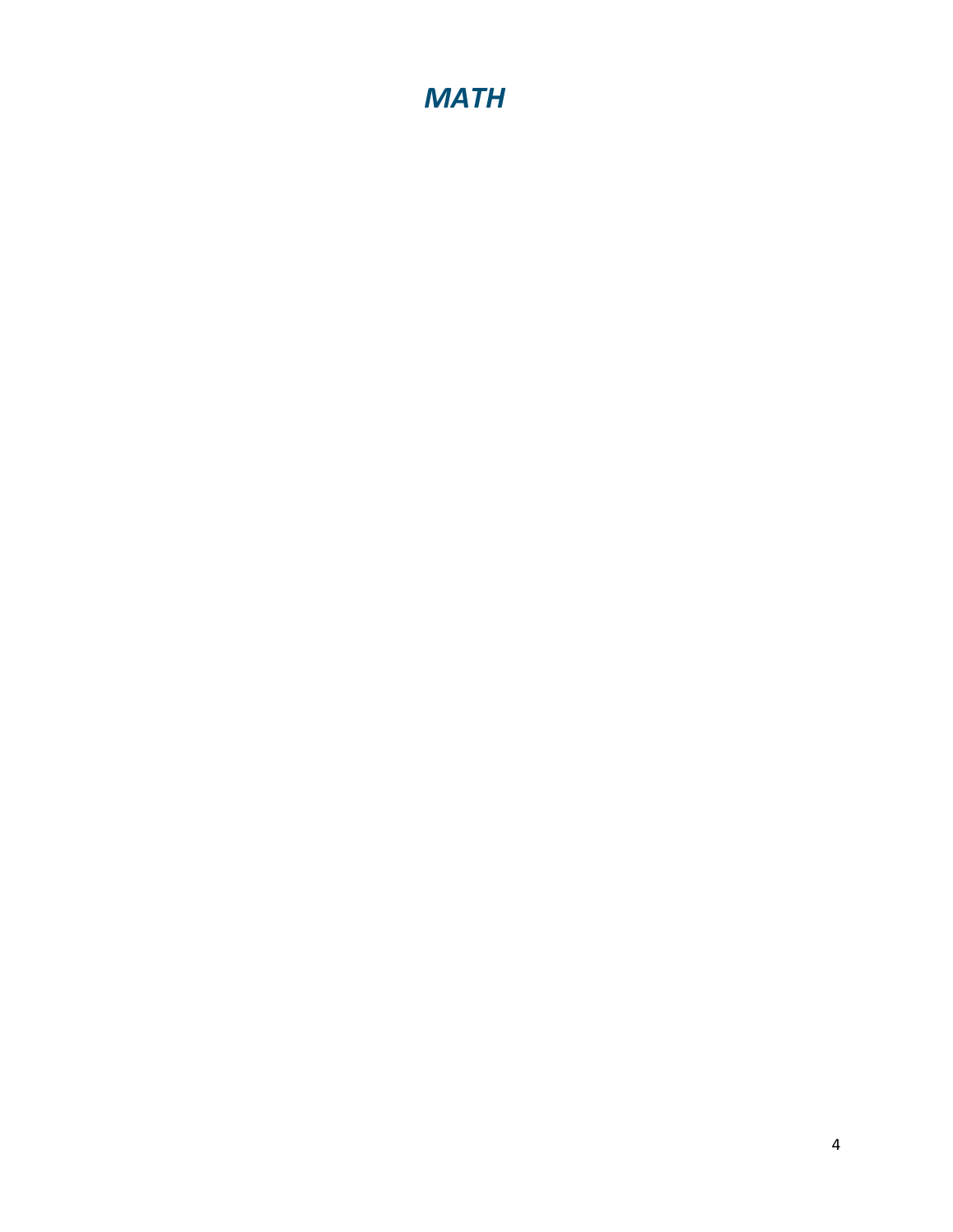## <span id="page-3-0"></span>*MATH*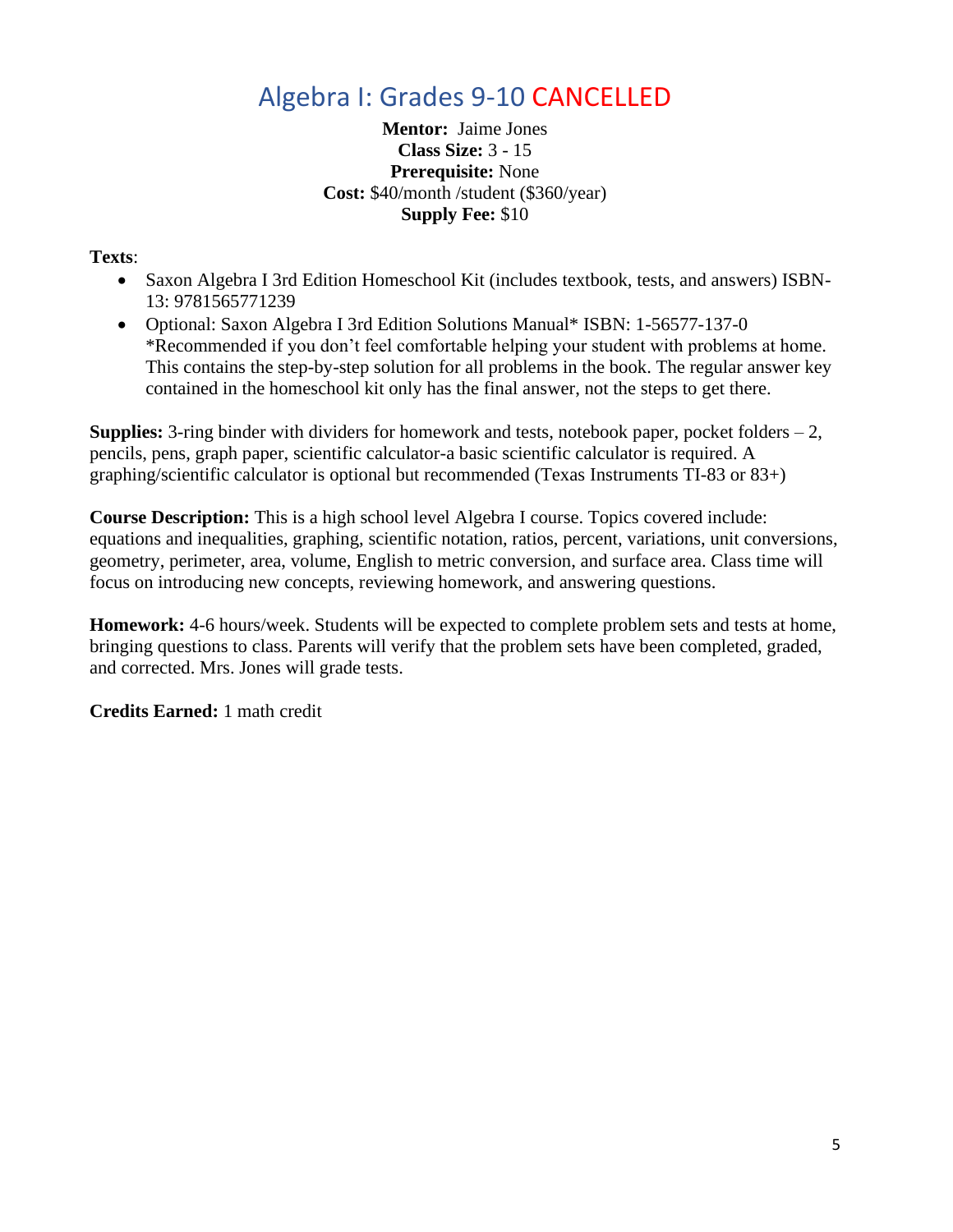## Algebra I: Grades 9-10 CANCELLED

**Mentor:** Jaime Jones **Class Size:** 3 - 15 **Prerequisite:** None **Cost:** \$40/month /student (\$360/year) **Supply Fee:** \$10

#### <span id="page-4-0"></span>**Texts**:

- Saxon Algebra I 3rd Edition Homeschool Kit (includes textbook, tests, and answers) ISBN-13: 9781565771239
- Optional: Saxon Algebra I 3rd Edition Solutions Manual\* ISBN: 1-56577-137-0 \*Recommended if you don't feel comfortable helping your student with problems at home. This contains the step-by-step solution for all problems in the book. The regular answer key contained in the homeschool kit only has the final answer, not the steps to get there.

**Supplies:** 3-ring binder with dividers for homework and tests, notebook paper, pocket folders – 2, pencils, pens, graph paper, scientific calculator-a basic scientific calculator is required. A graphing/scientific calculator is optional but recommended (Texas Instruments TI-83 or 83+)

**Course Description:** This is a high school level Algebra I course. Topics covered include: equations and inequalities, graphing, scientific notation, ratios, percent, variations, unit conversions, geometry, perimeter, area, volume, English to metric conversion, and surface area. Class time will focus on introducing new concepts, reviewing homework, and answering questions.

**Homework:** 4-6 hours/week. Students will be expected to complete problem sets and tests at home, bringing questions to class. Parents will verify that the problem sets have been completed, graded, and corrected. Mrs. Jones will grade tests.

**Credits Earned:** 1 math credit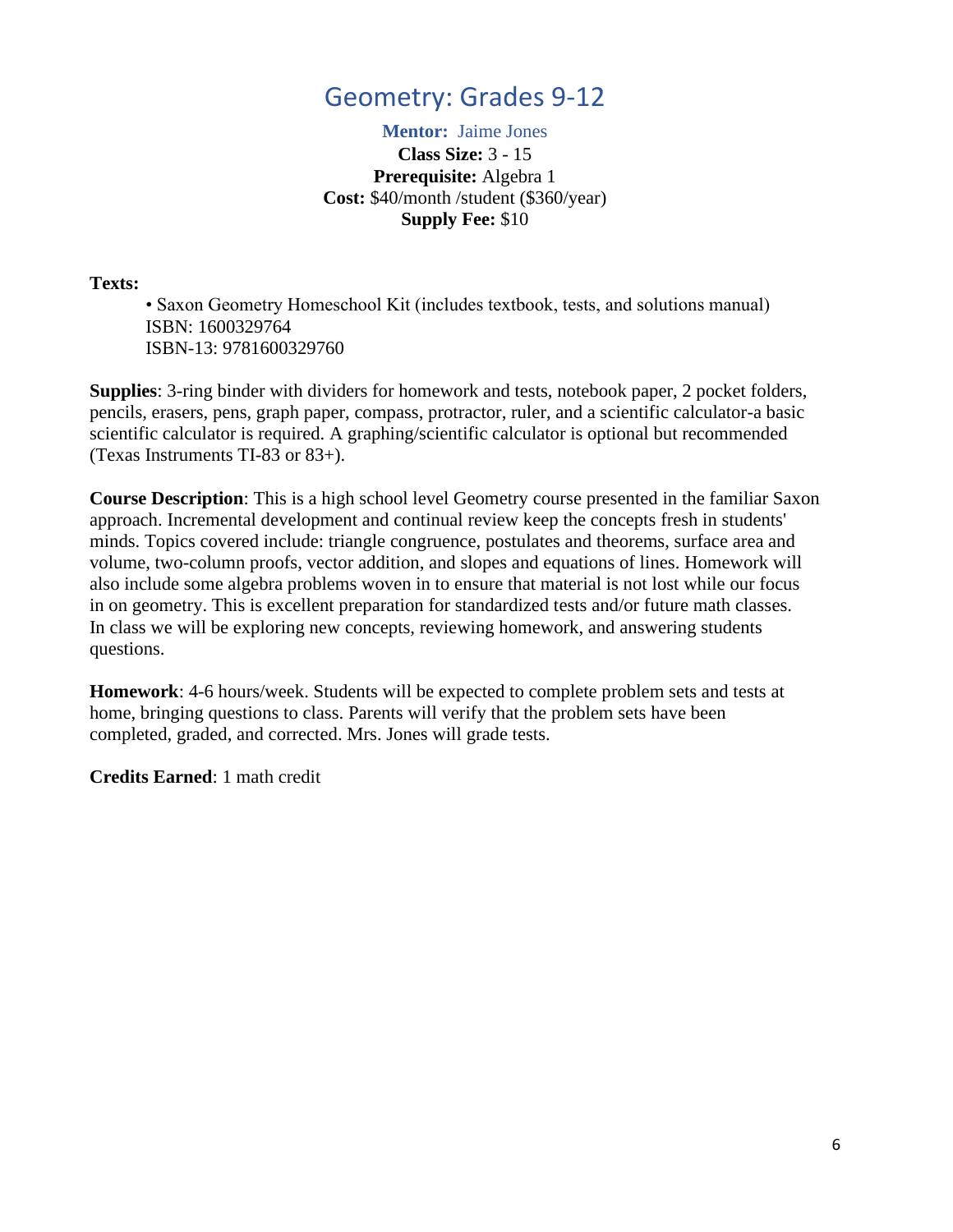## Geometry: Grades 9-12

**Mentor:** Jaime Jones

**Class Size:** 3 - 15 **Prerequisite:** Algebra 1 **Cost:** \$40/month /student (\$360/year) **Supply Fee:** \$10

<span id="page-5-0"></span>**Texts:**

• Saxon Geometry Homeschool Kit (includes textbook, tests, and solutions manual) ISBN: 1600329764 ISBN-13: 9781600329760

**Supplies**: 3-ring binder with dividers for homework and tests, notebook paper, 2 pocket folders, pencils, erasers, pens, graph paper, compass, protractor, ruler, and a scientific calculator-a basic scientific calculator is required. A graphing/scientific calculator is optional but recommended (Texas Instruments TI-83 or 83+).

**Course Description**: This is a high school level Geometry course presented in the familiar Saxon approach. Incremental development and continual review keep the concepts fresh in students' minds. Topics covered include: triangle congruence, postulates and theorems, surface area and volume, two-column proofs, vector addition, and slopes and equations of lines. Homework will also include some algebra problems woven in to ensure that material is not lost while our focus in on geometry. This is excellent preparation for standardized tests and/or future math classes. In class we will be exploring new concepts, reviewing homework, and answering students questions.

**Homework**: 4-6 hours/week. Students will be expected to complete problem sets and tests at home, bringing questions to class. Parents will verify that the problem sets have been completed, graded, and corrected. Mrs. Jones will grade tests.

**Credits Earned**: 1 math credit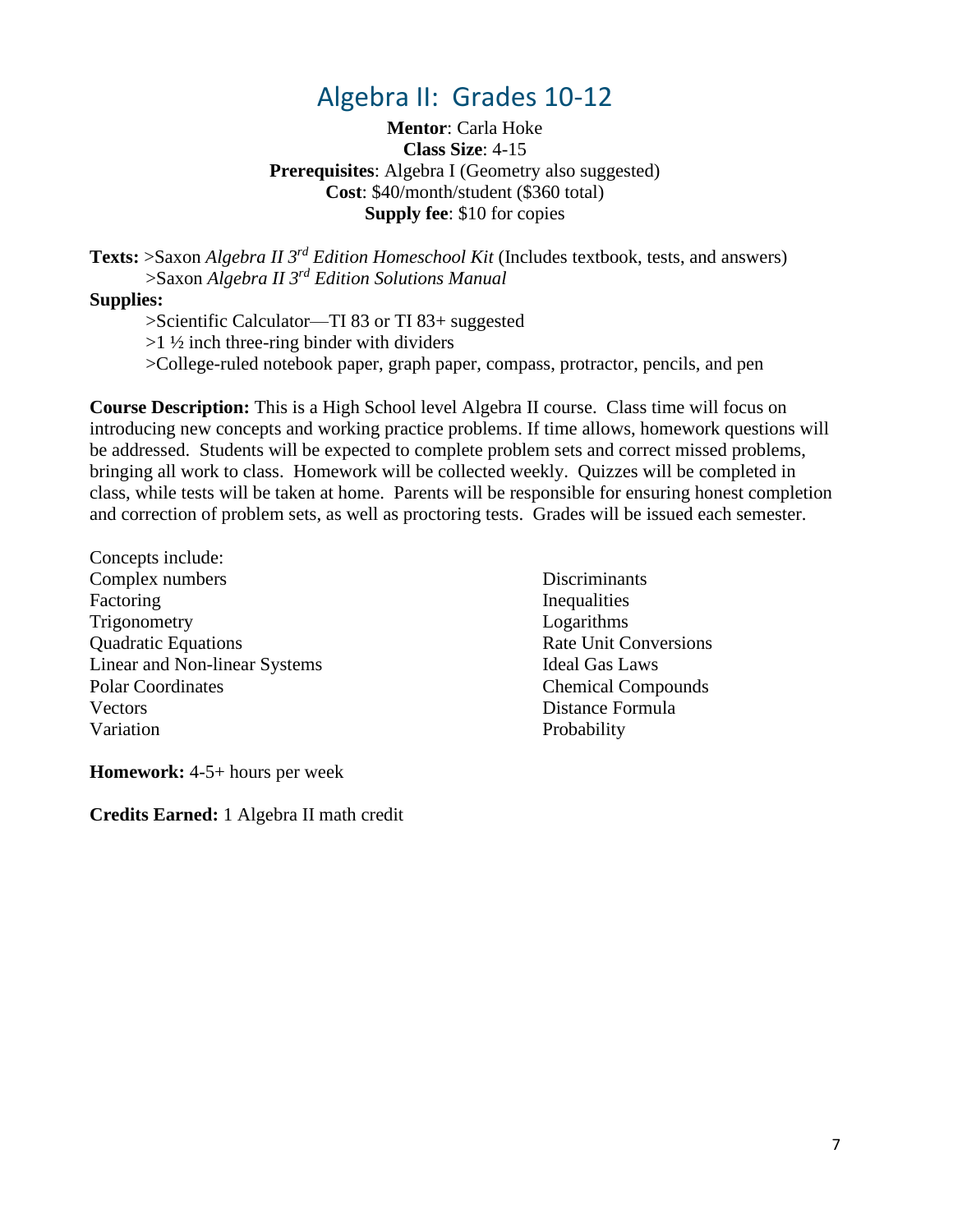## Algebra II: Grades 10-12

**Mentor**: Carla Hoke **Class Size**: 4-15 **Prerequisites**: Algebra I (Geometry also suggested) **Cost**: \$40/month/student (\$360 total) **Supply fee**: \$10 for copies

<span id="page-6-0"></span>**Texts:** >Saxon *Algebra II 3rd Edition Homeschool Kit* (Includes textbook, tests, and answers) >Saxon *Algebra II 3rd Edition Solutions Manual*

#### **Supplies:**

>Scientific Calculator—TI 83 or TI 83+ suggested  $>1\frac{1}{2}$  inch three-ring binder with dividers >College-ruled notebook paper, graph paper, compass, protractor, pencils, and pen

**Course Description:** This is a High School level Algebra II course. Class time will focus on introducing new concepts and working practice problems. If time allows, homework questions will be addressed. Students will be expected to complete problem sets and correct missed problems, bringing all work to class. Homework will be collected weekly. Quizzes will be completed in class, while tests will be taken at home. Parents will be responsible for ensuring honest completion and correction of problem sets, as well as proctoring tests. Grades will be issued each semester.

Concepts include: Complex numbers Discriminants Factoring Inequalities Trigonometry Logarithms Quadratic Equations Rate Unit Conversions Linear and Non-linear Systems Ideal Gas Laws Polar Coordinates **Chemical Compounds** Chemical Compounds Vectors Distance Formula Variation Probability

**Homework:** 4-5+ hours per week

**Credits Earned:** 1 Algebra II math credit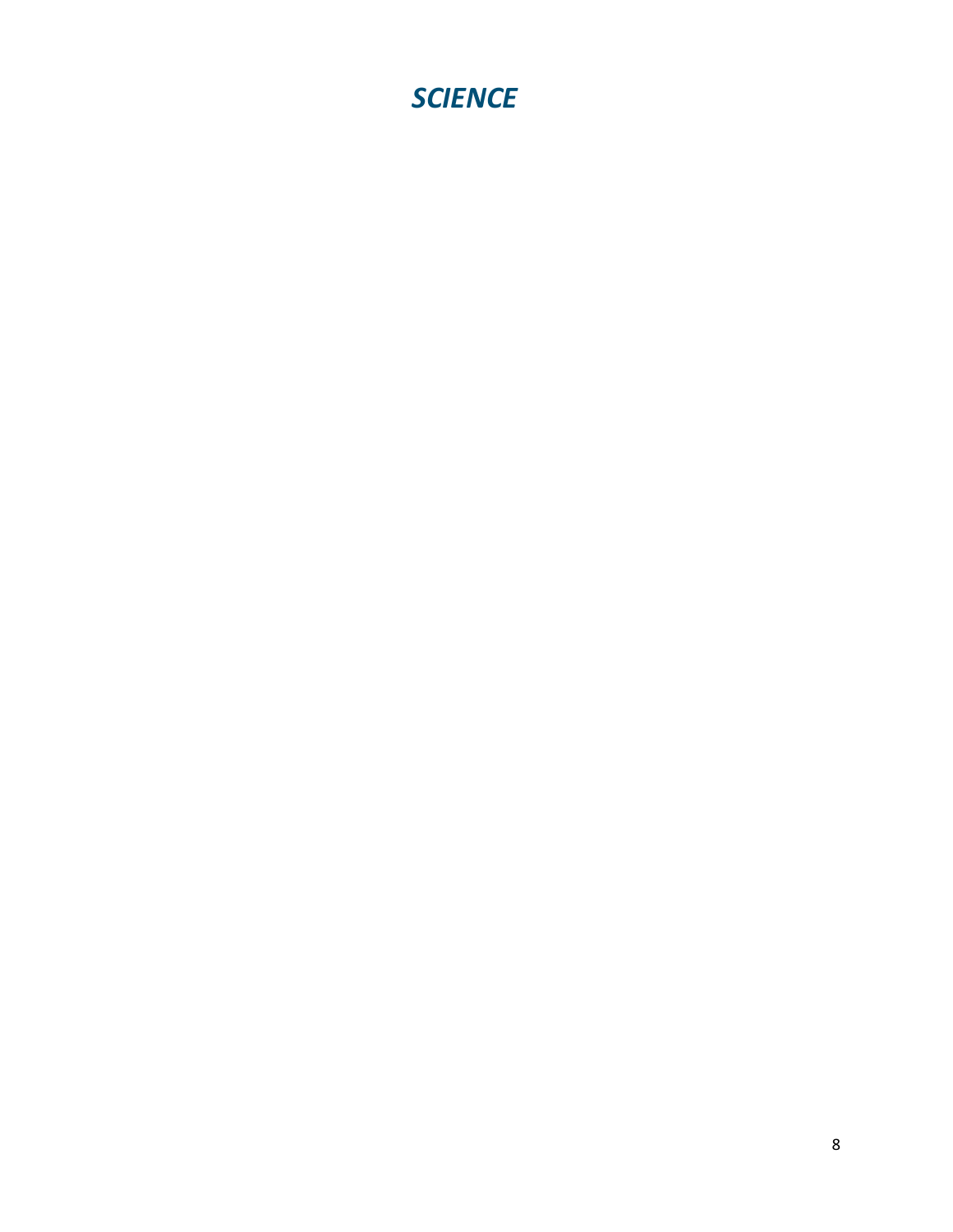## <span id="page-7-0"></span>*SCIENCE*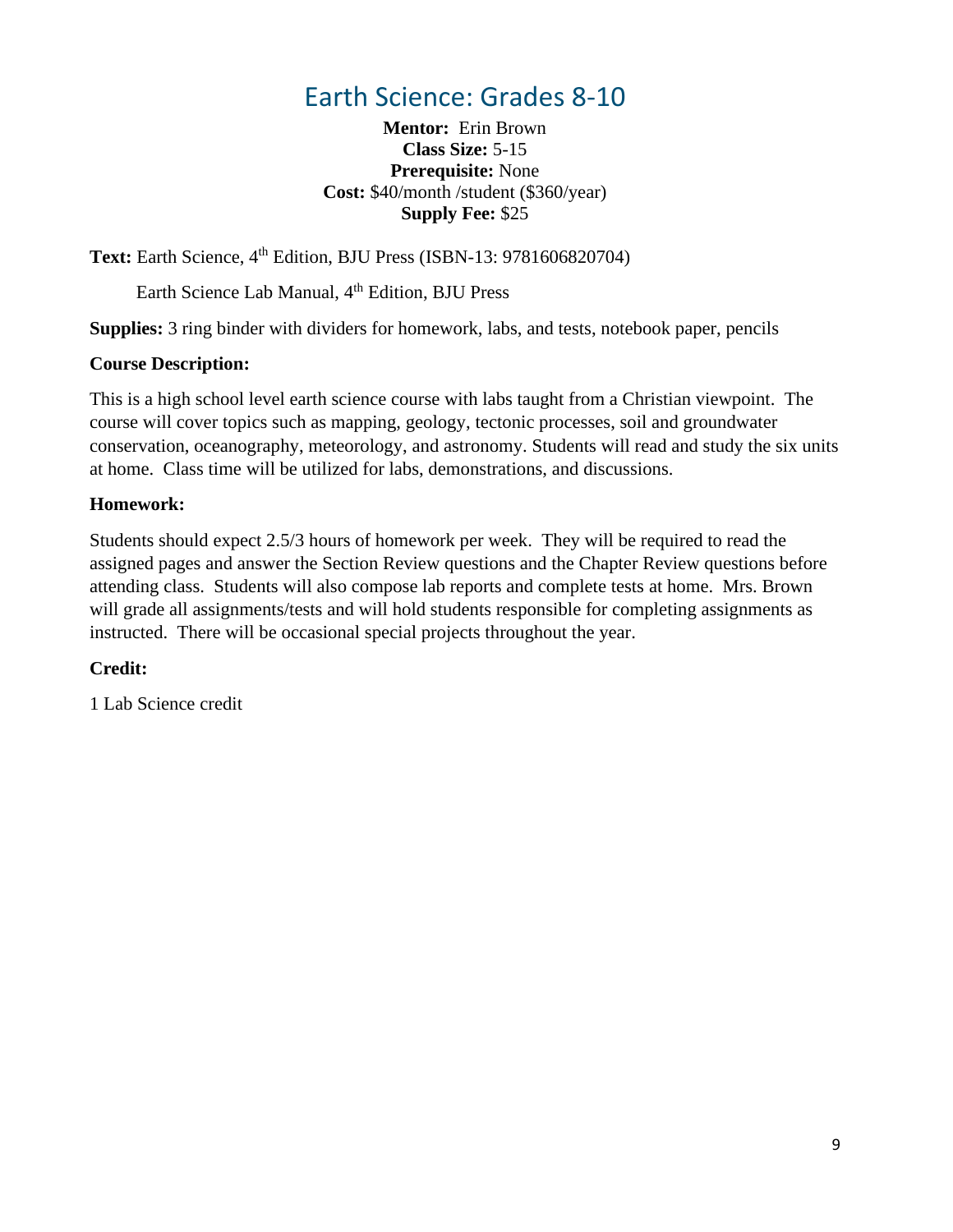## Earth Science: Grades 8-10

**Mentor:** Erin Brown **Class Size:** 5-15 **Prerequisite:** None **Cost:** \$40/month /student (\$360/year) **Supply Fee:** \$25

<span id="page-8-0"></span>Text: Earth Science, 4<sup>th</sup> Edition, BJU Press (ISBN-13: 9781606820704)

Earth Science Lab Manual, 4<sup>th</sup> Edition, BJU Press

**Supplies:** 3 ring binder with dividers for homework, labs, and tests, notebook paper, pencils

#### **Course Description:**

This is a high school level earth science course with labs taught from a Christian viewpoint. The course will cover topics such as mapping, geology, tectonic processes, soil and groundwater conservation, oceanography, meteorology, and astronomy. Students will read and study the six units at home. Class time will be utilized for labs, demonstrations, and discussions.

#### **Homework:**

Students should expect 2.5/3 hours of homework per week. They will be required to read the assigned pages and answer the Section Review questions and the Chapter Review questions before attending class. Students will also compose lab reports and complete tests at home. Mrs. Brown will grade all assignments/tests and will hold students responsible for completing assignments as instructed. There will be occasional special projects throughout the year.

#### **Credit:**

1 Lab Science credit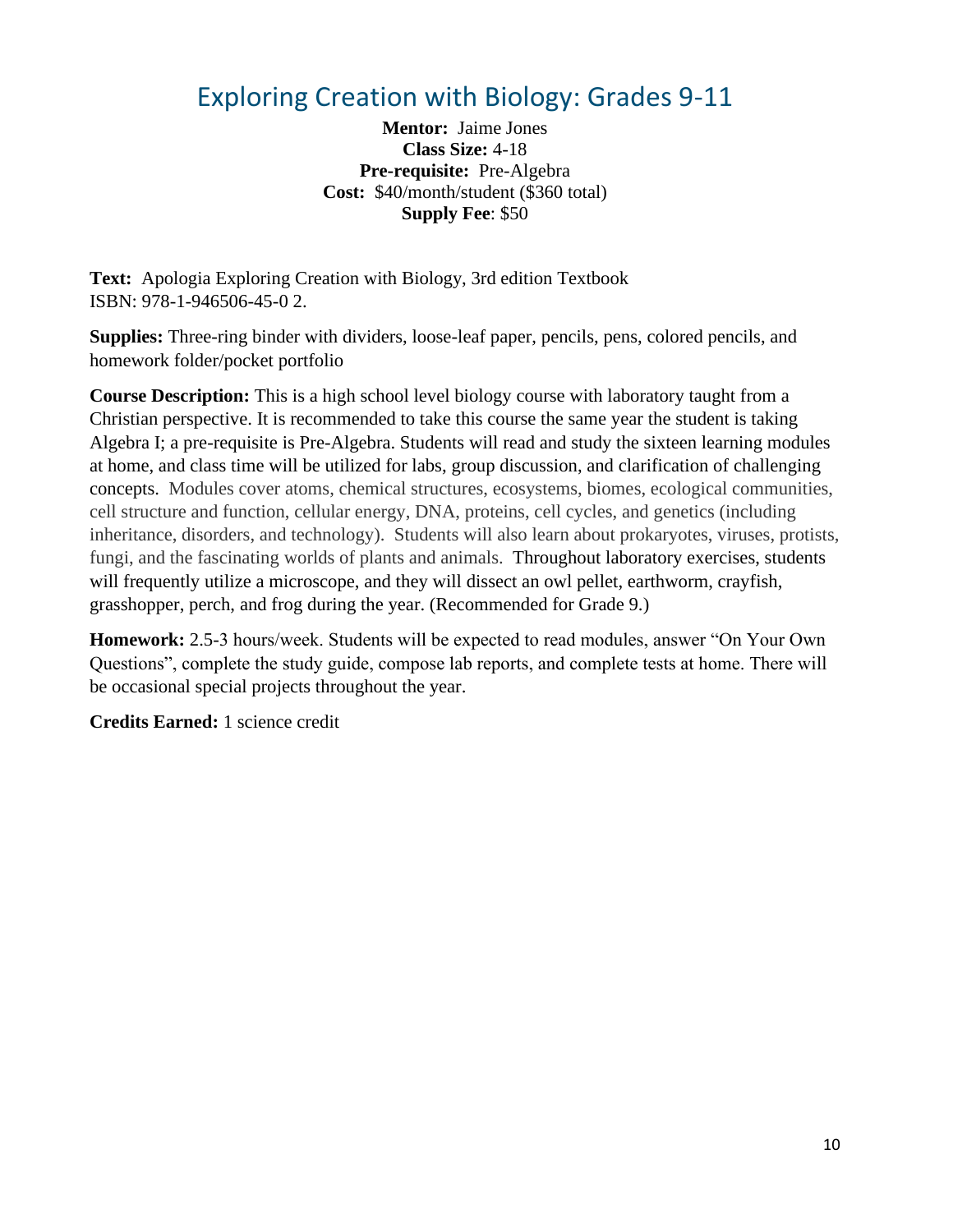## <span id="page-9-0"></span>Exploring Creation with Biology: Grades 9-11

**Mentor:** Jaime Jones **Class Size:** 4-18 **Pre-requisite:** Pre-Algebra **Cost:** \$40/month/student (\$360 total) **Supply Fee**: \$50

**Text:** Apologia Exploring Creation with Biology, 3rd edition Textbook ISBN: 978-1-946506-45-0 2.

**Supplies:** Three-ring binder with dividers, loose-leaf paper, pencils, pens, colored pencils, and homework folder/pocket portfolio

**Course Description:** This is a high school level biology course with laboratory taught from a Christian perspective. It is recommended to take this course the same year the student is taking Algebra I; a pre-requisite is Pre-Algebra. Students will read and study the sixteen learning modules at home, and class time will be utilized for labs, group discussion, and clarification of challenging concepts. Modules cover atoms, chemical structures, ecosystems, biomes, ecological communities, cell structure and function, cellular energy, DNA, proteins, cell cycles, and genetics (including inheritance, disorders, and technology). Students will also learn about prokaryotes, viruses, protists, fungi, and the fascinating worlds of plants and animals. Throughout laboratory exercises, students will frequently utilize a microscope, and they will dissect an owl pellet, earthworm, crayfish, grasshopper, perch, and frog during the year. (Recommended for Grade 9.)

**Homework:** 2.5-3 hours/week. Students will be expected to read modules, answer "On Your Own Questions", complete the study guide, compose lab reports, and complete tests at home. There will be occasional special projects throughout the year.

**Credits Earned:** 1 science credit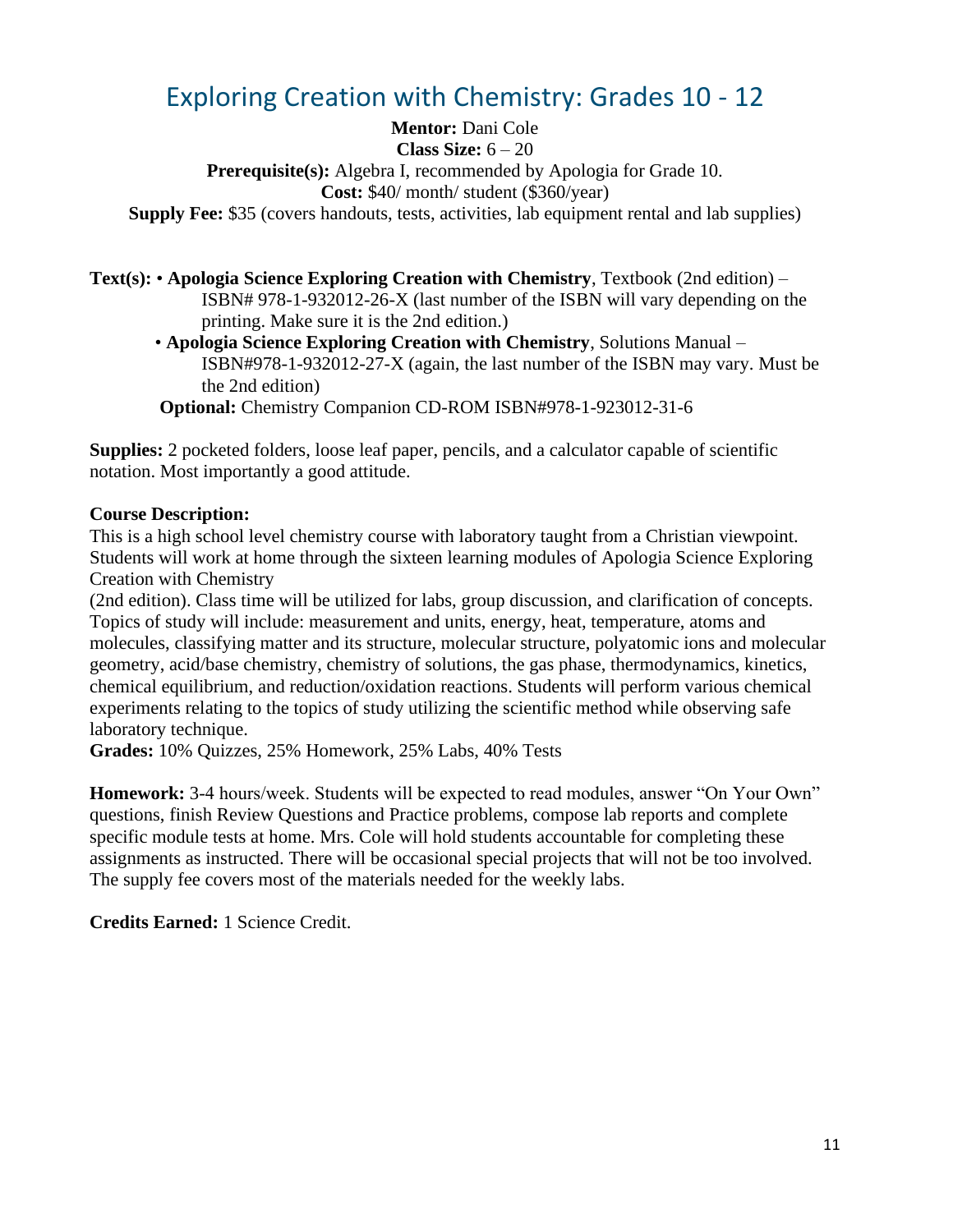## Exploring Creation with Chemistry: Grades 10 - 12

<span id="page-10-0"></span>**Mentor:** Dani Cole **Class Size:** 6 – 20 **Prerequisite(s):** Algebra I, recommended by Apologia for Grade 10. **Cost:** \$40/ month/ student (\$360/year) **Supply Fee:** \$35 (covers handouts, tests, activities, lab equipment rental and lab supplies)

**Text(s):** • **Apologia Science Exploring Creation with Chemistry**, Textbook (2nd edition) – ISBN# 978-1-932012-26-X (last number of the ISBN will vary depending on the printing. Make sure it is the 2nd edition.)

 • **Apologia Science Exploring Creation with Chemistry**, Solutions Manual – ISBN#978-1-932012-27-X (again, the last number of the ISBN may vary. Must be the 2nd edition)

**Optional:** Chemistry Companion CD-ROM ISBN#978-1-923012-31-6

**Supplies:** 2 pocketed folders, loose leaf paper, pencils, and a calculator capable of scientific notation. Most importantly a good attitude.

#### **Course Description:**

This is a high school level chemistry course with laboratory taught from a Christian viewpoint. Students will work at home through the sixteen learning modules of Apologia Science Exploring Creation with Chemistry

(2nd edition). Class time will be utilized for labs, group discussion, and clarification of concepts. Topics of study will include: measurement and units, energy, heat, temperature, atoms and molecules, classifying matter and its structure, molecular structure, polyatomic ions and molecular geometry, acid/base chemistry, chemistry of solutions, the gas phase, thermodynamics, kinetics, chemical equilibrium, and reduction/oxidation reactions. Students will perform various chemical experiments relating to the topics of study utilizing the scientific method while observing safe laboratory technique.

**Grades:** 10% Quizzes, 25% Homework, 25% Labs, 40% Tests

**Homework:** 3-4 hours/week. Students will be expected to read modules, answer "On Your Own" questions, finish Review Questions and Practice problems, compose lab reports and complete specific module tests at home. Mrs. Cole will hold students accountable for completing these assignments as instructed. There will be occasional special projects that will not be too involved. The supply fee covers most of the materials needed for the weekly labs.

**Credits Earned:** 1 Science Credit.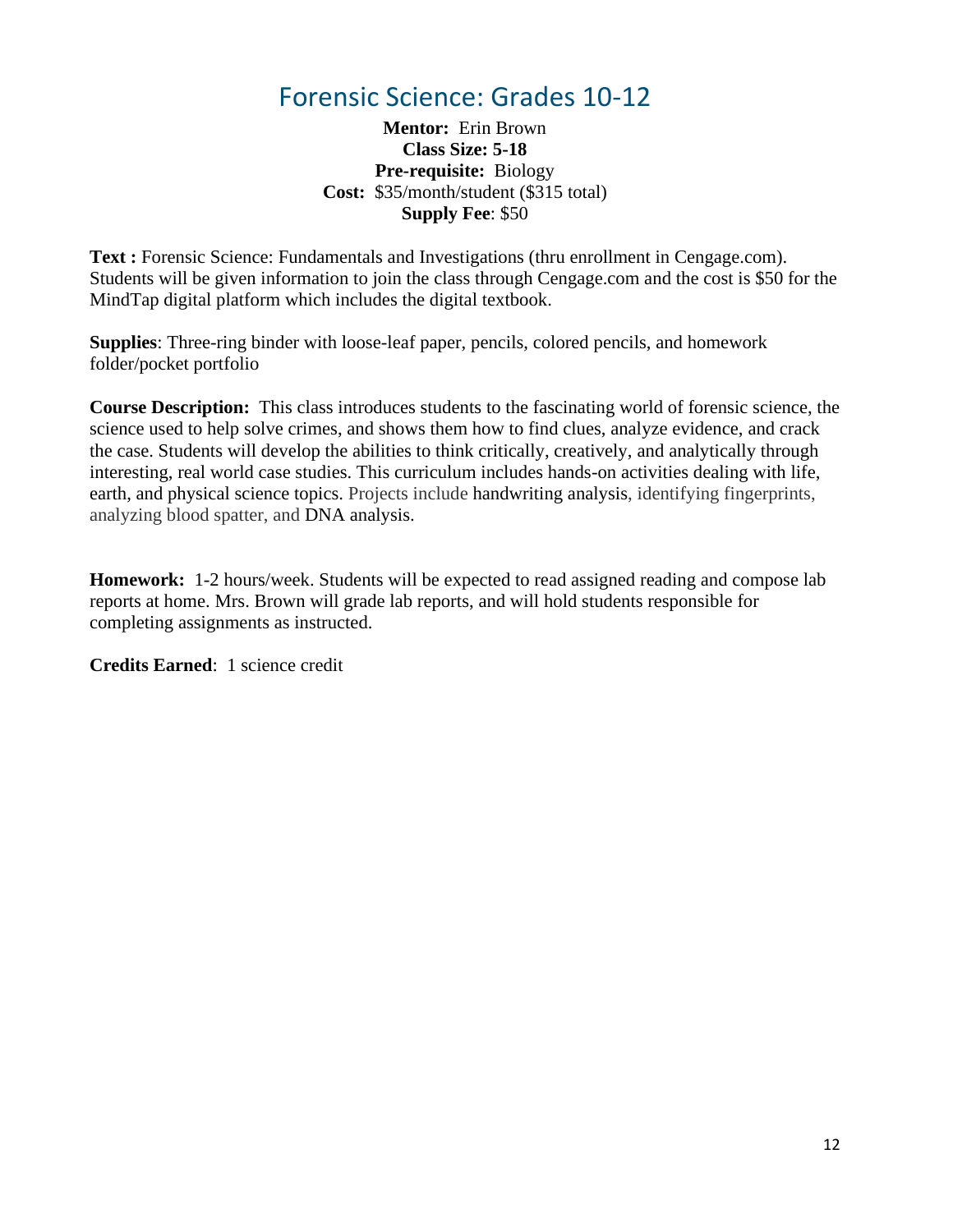## Forensic Science: Grades 10-12

**Mentor:** Erin Brown **Class Size: 5-18 Pre-requisite:** Biology **Cost:** \$35/month/student (\$315 total) **Supply Fee**: \$50

<span id="page-11-0"></span>Text : Forensic Science: Fundamentals and Investigations (thru enrollment in Cengage.com). Students will be given information to join the class through Cengage.com and the cost is \$50 for the MindTap digital platform which includes the digital textbook.

**Supplies**: Three-ring binder with loose-leaf paper, pencils, colored pencils, and homework folder/pocket portfolio

**Course Description:** This class introduces students to the fascinating world of forensic science, the science used to help solve crimes, and shows them how to find clues, analyze evidence, and crack the case. Students will develop the abilities to think critically, creatively, and analytically through interesting, real world case studies. This curriculum includes hands-on activities dealing with life, earth, and physical science topics. Projects include handwriting analysis, identifying fingerprints, analyzing blood spatter, and DNA analysis.

**Homework:** 1-2 hours/week. Students will be expected to read assigned reading and compose lab reports at home. Mrs. Brown will grade lab reports, and will hold students responsible for completing assignments as instructed.

**Credits Earned**: 1 science credit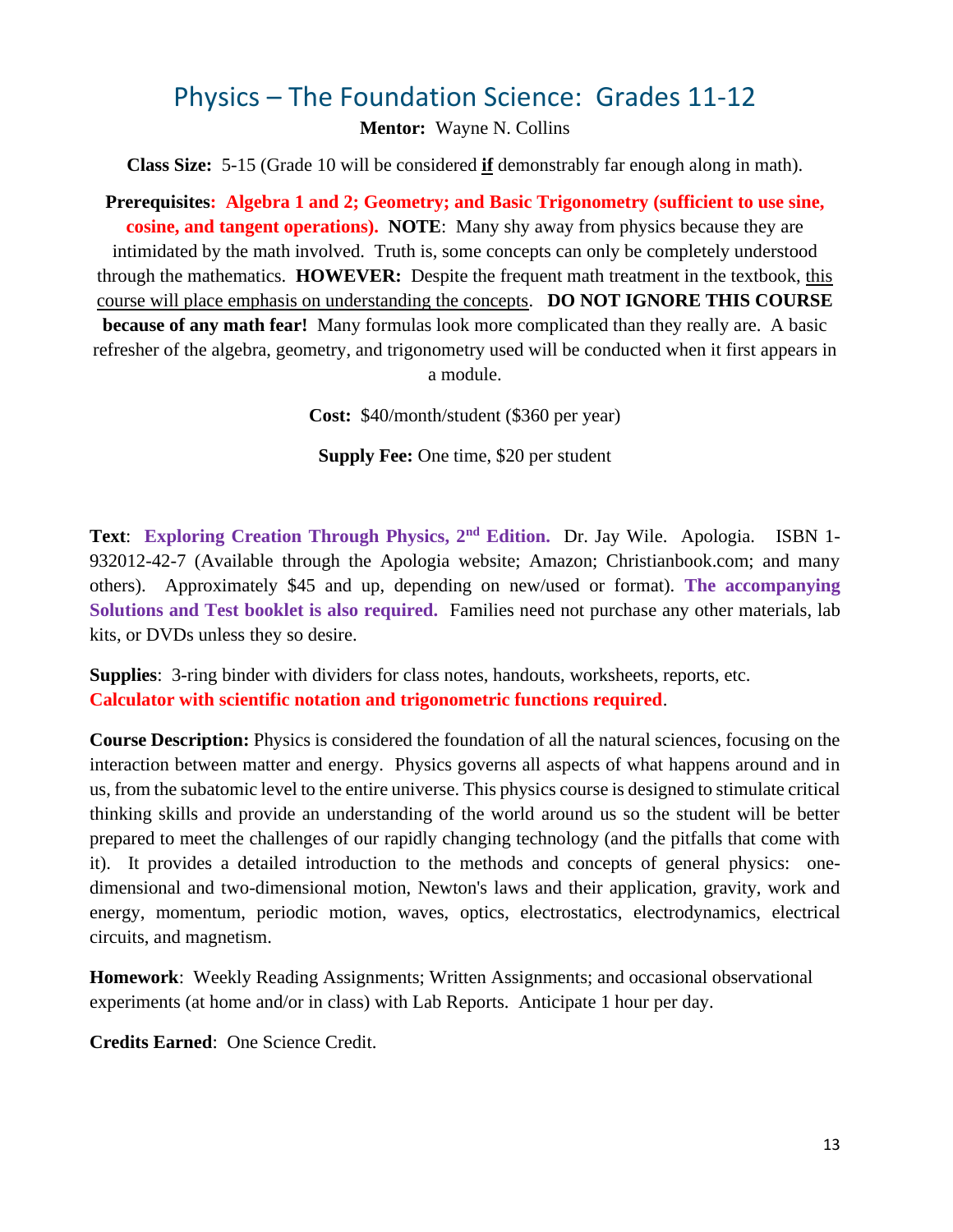### <span id="page-12-0"></span>Physics – The Foundation Science: Grades 11-12

**Mentor:** Wayne N. Collins

**Class Size:** 5-15 (Grade 10 will be considered **if** demonstrably far enough along in math).

**Prerequisites: Algebra 1 and 2; Geometry; and Basic Trigonometry (sufficient to use sine, cosine, and tangent operations). NOTE**: Many shy away from physics because they are intimidated by the math involved. Truth is, some concepts can only be completely understood through the mathematics. **HOWEVER:** Despite the frequent math treatment in the textbook, this course will place emphasis on understanding the concepts. **DO NOT IGNORE THIS COURSE**

**because of any math fear!** Many formulas look more complicated than they really are. A basic refresher of the algebra, geometry, and trigonometry used will be conducted when it first appears in a module.

**Cost:** \$40/month/student (\$360 per year)

**Supply Fee:** One time, \$20 per student

**Text**: **Exploring Creation Through Physics, 2nd Edition.** Dr. Jay Wile. Apologia. ISBN 1- 932012-42-7 (Available through the Apologia website; Amazon; Christianbook.com; and many others). Approximately \$45 and up, depending on new/used or format). **The accompanying Solutions and Test booklet is also required.** Families need not purchase any other materials, lab kits, or DVDs unless they so desire.

**Supplies**: 3-ring binder with dividers for class notes, handouts, worksheets, reports, etc. **Calculator with scientific notation and trigonometric functions required**.

**Course Description:** Physics is considered the foundation of all the natural sciences, focusing on the interaction between matter and energy. Physics governs all aspects of what happens around and in us, from the subatomic level to the entire universe. This physics course is designed to stimulate critical thinking skills and provide an understanding of the world around us so the student will be better prepared to meet the challenges of our rapidly changing technology (and the pitfalls that come with it). It provides a detailed introduction to the methods and concepts of general physics: onedimensional and two-dimensional motion, Newton's laws and their application, gravity, work and energy, momentum, periodic motion, waves, optics, electrostatics, electrodynamics, electrical circuits, and magnetism.

**Homework**: Weekly Reading Assignments; Written Assignments; and occasional observational experiments (at home and/or in class) with Lab Reports. Anticipate 1 hour per day.

**Credits Earned**: One Science Credit.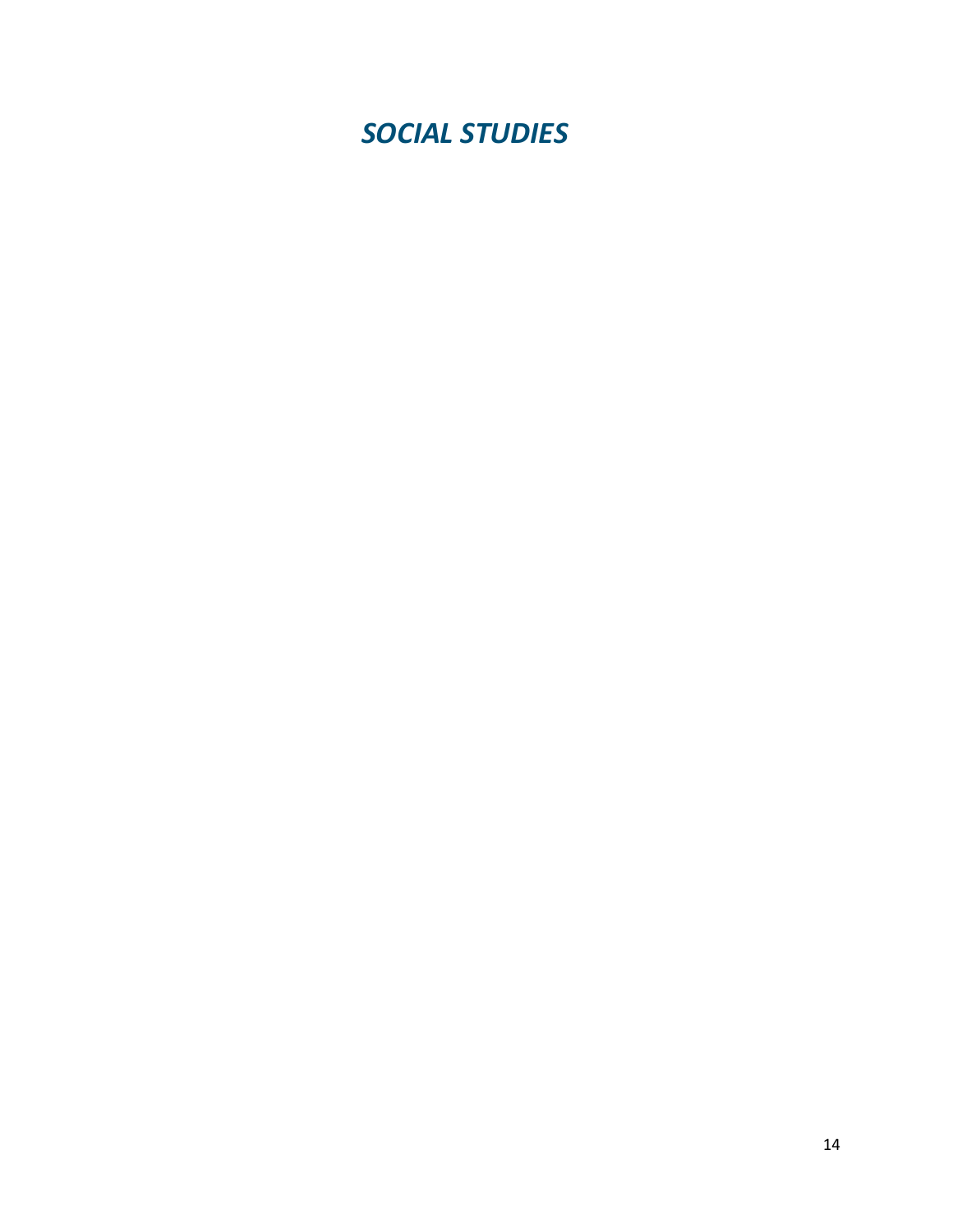<span id="page-13-0"></span>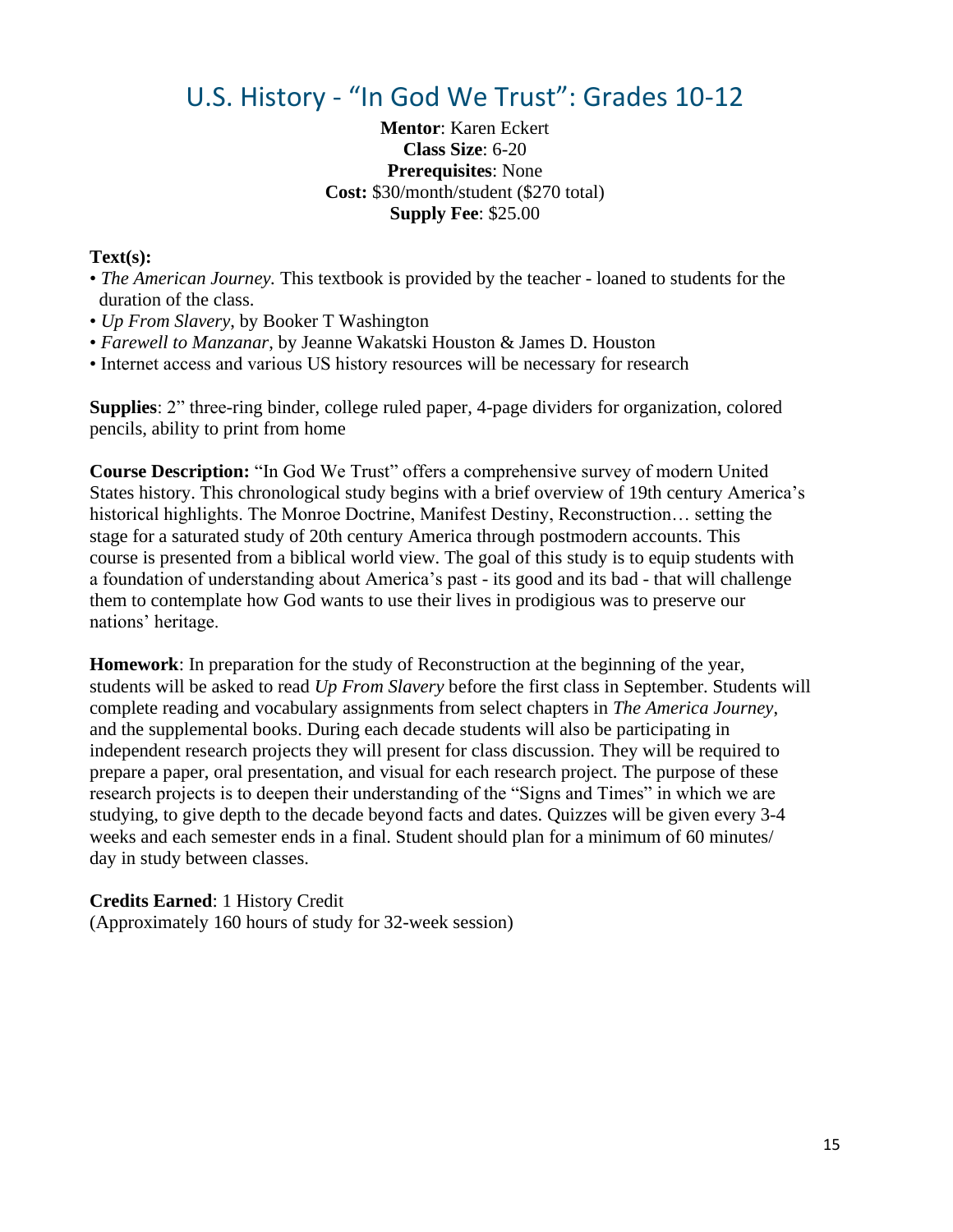## <span id="page-14-0"></span>U.S. History - "In God We Trust": Grades 10-12

**Mentor**: Karen Eckert **Class Size**: 6-20 **Prerequisites**: None **Cost:** \$30/month/student (\$270 total) **Supply Fee**: \$25.00

**Text(s):**

- *The American Journey.* This textbook is provided by the teacher loaned to students for the duration of the class.
- *Up From Slavery*, by Booker T Washington
- *Farewell to Manzanar*, by Jeanne Wakatski Houston & James D. Houston
- Internet access and various US history resources will be necessary for research

**Supplies**: 2" three-ring binder, college ruled paper, 4-page dividers for organization, colored pencils, ability to print from home

**Course Description:** "In God We Trust" offers a comprehensive survey of modern United States history. This chronological study begins with a brief overview of 19th century America's historical highlights. The Monroe Doctrine, Manifest Destiny, Reconstruction… setting the stage for a saturated study of 20th century America through postmodern accounts. This course is presented from a biblical world view. The goal of this study is to equip students with a foundation of understanding about America's past - its good and its bad - that will challenge them to contemplate how God wants to use their lives in prodigious was to preserve our nations' heritage.

**Homework**: In preparation for the study of Reconstruction at the beginning of the year, students will be asked to read *Up From Slavery* before the first class in September. Students will complete reading and vocabulary assignments from select chapters in *The America Journey*, and the supplemental books. During each decade students will also be participating in independent research projects they will present for class discussion. They will be required to prepare a paper, oral presentation, and visual for each research project. The purpose of these research projects is to deepen their understanding of the "Signs and Times" in which we are studying, to give depth to the decade beyond facts and dates. Quizzes will be given every 3-4 weeks and each semester ends in a final. Student should plan for a minimum of 60 minutes/ day in study between classes.

**Credits Earned**: 1 History Credit (Approximately 160 hours of study for 32-week session)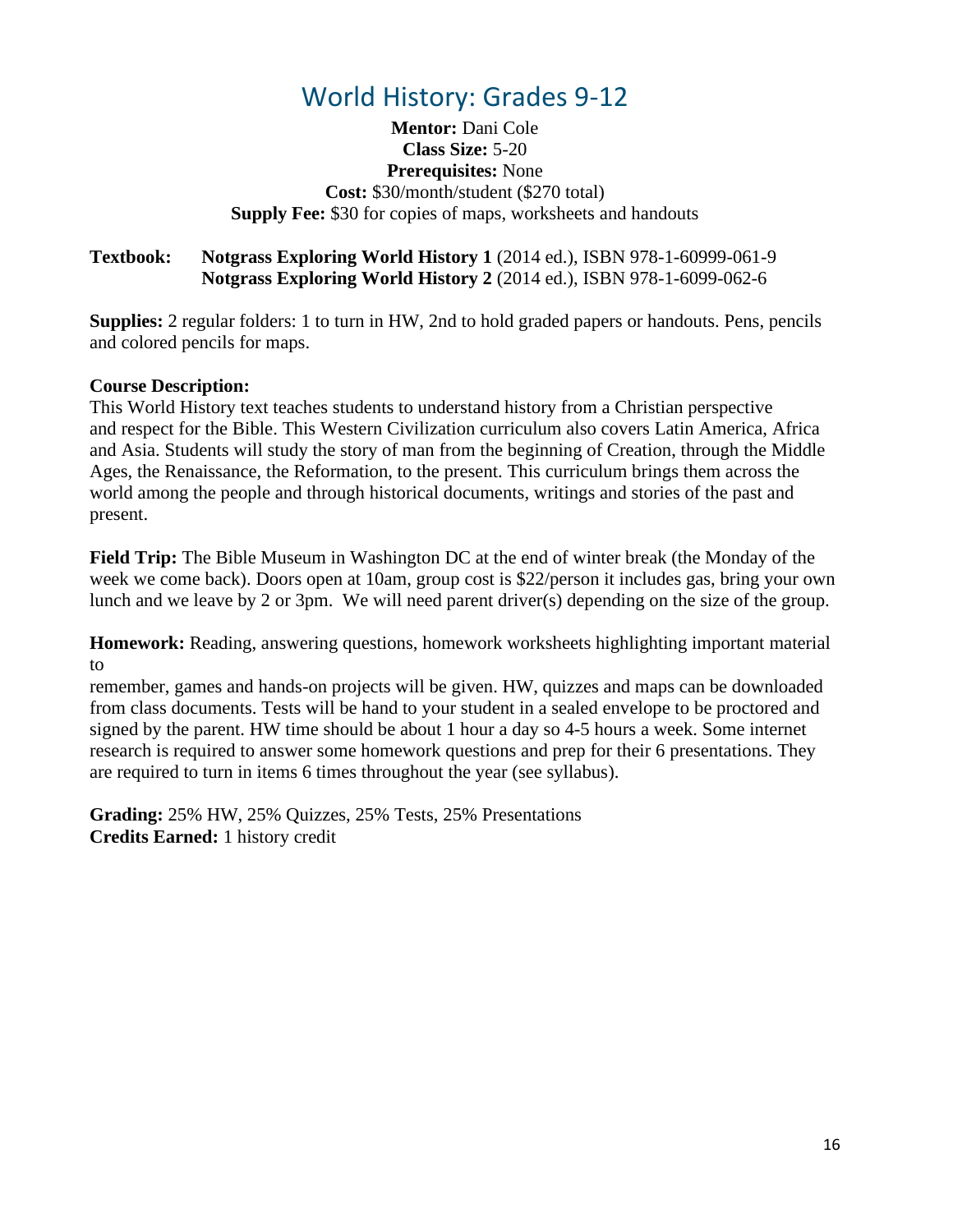## World History: Grades 9-12

<span id="page-15-0"></span>**Mentor:** Dani Cole **Class Size:** 5-20 **Prerequisites:** None **Cost:** \$30/month/student (\$270 total) **Supply Fee:** \$30 for copies of maps, worksheets and handouts

#### **Textbook: Notgrass Exploring World History 1** (2014 ed.), ISBN 978-1-60999-061-9 **Notgrass Exploring World History 2** (2014 ed.), ISBN 978-1-6099-062-6

**Supplies:** 2 regular folders: 1 to turn in HW, 2nd to hold graded papers or handouts. Pens, pencils and colored pencils for maps.

#### **Course Description:**

This World History text teaches students to understand history from a Christian perspective and respect for the Bible. This Western Civilization curriculum also covers Latin America, Africa and Asia. Students will study the story of man from the beginning of Creation, through the Middle Ages, the Renaissance, the Reformation, to the present. This curriculum brings them across the world among the people and through historical documents, writings and stories of the past and present.

**Field Trip:** The Bible Museum in Washington DC at the end of winter break (the Monday of the week we come back). Doors open at 10am, group cost is \$22/person it includes gas, bring your own lunch and we leave by 2 or 3pm. We will need parent driver(s) depending on the size of the group.

**Homework:** Reading, answering questions, homework worksheets highlighting important material to

remember, games and hands-on projects will be given. HW, quizzes and maps can be downloaded from class documents. Tests will be hand to your student in a sealed envelope to be proctored and signed by the parent. HW time should be about 1 hour a day so 4-5 hours a week. Some internet research is required to answer some homework questions and prep for their 6 presentations. They are required to turn in items 6 times throughout the year (see syllabus).

**Grading:** 25% HW, 25% Quizzes, 25% Tests, 25% Presentations **Credits Earned:** 1 history credit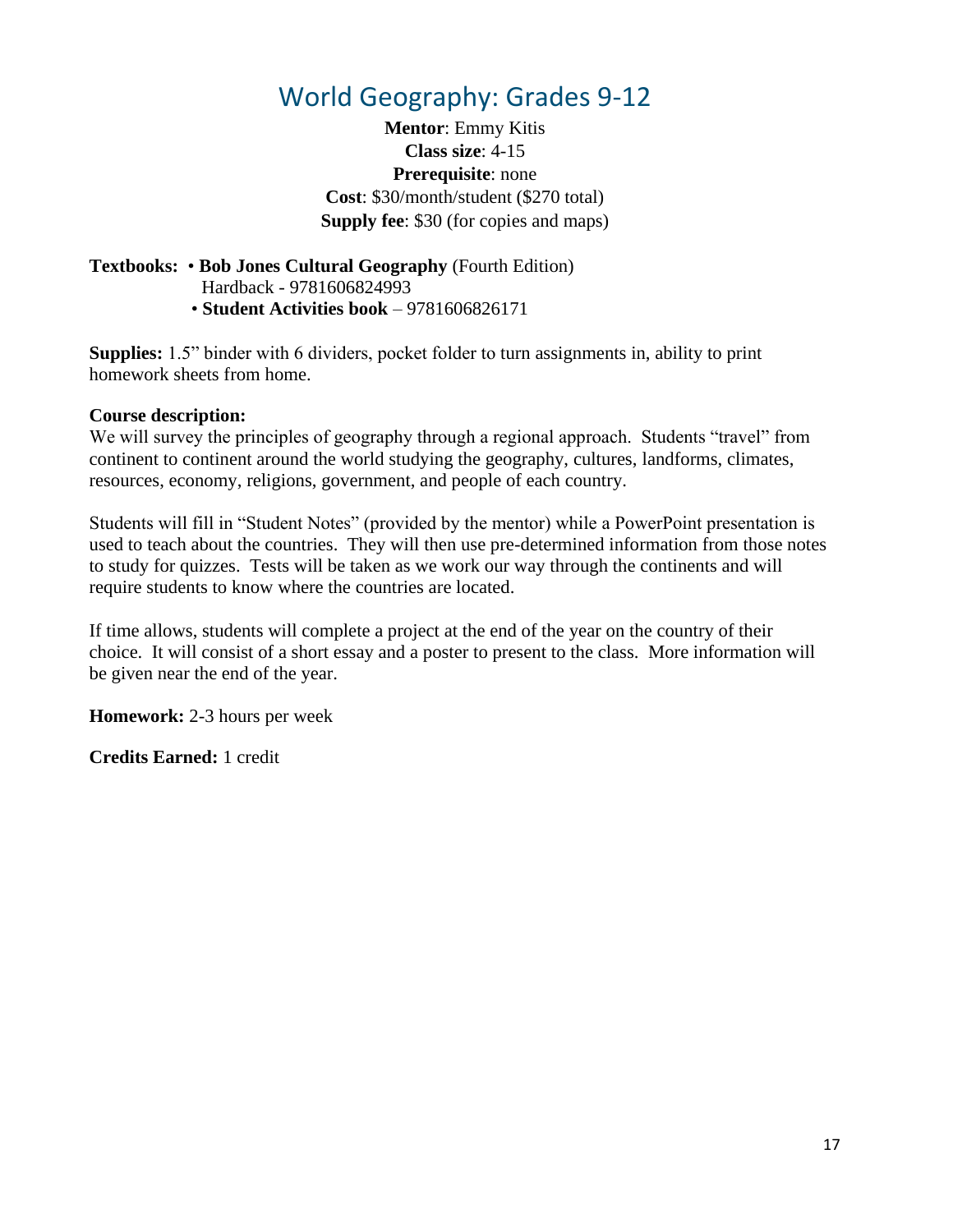## World Geography: Grades 9-12

**Mentor**: Emmy Kitis **Class size**: 4-15 **Prerequisite**: none **Cost**: \$30/month/student (\$270 total) **Supply fee**: \$30 (for copies and maps)

#### <span id="page-16-0"></span>**Textbooks:** • **Bob Jones Cultural Geography** (Fourth Edition) Hardback - 9781606824993 • **Student Activities book** – 9781606826171

**Supplies:** 1.5" binder with 6 dividers, pocket folder to turn assignments in, ability to print homework sheets from home.

#### **Course description:**

We will survey the principles of geography through a regional approach. Students "travel" from continent to continent around the world studying the geography, cultures, landforms, climates, resources, economy, religions, government, and people of each country.

Students will fill in "Student Notes" (provided by the mentor) while a PowerPoint presentation is used to teach about the countries. They will then use pre-determined information from those notes to study for quizzes. Tests will be taken as we work our way through the continents and will require students to know where the countries are located.

If time allows, students will complete a project at the end of the year on the country of their choice. It will consist of a short essay and a poster to present to the class. More information will be given near the end of the year.

**Homework:** 2-3 hours per week

**Credits Earned:** 1 credit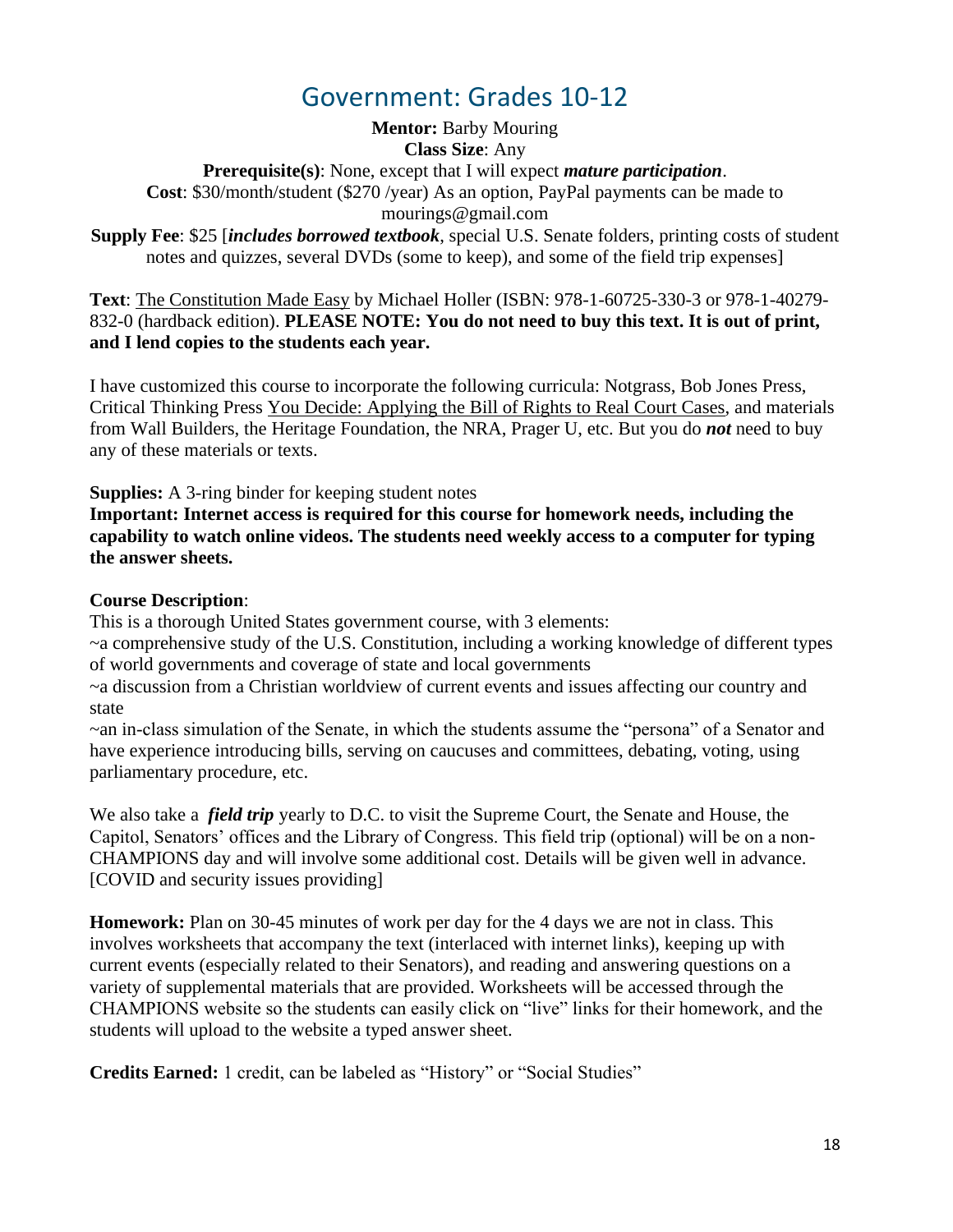## Government: Grades 10-12

**Mentor:** Barby Mouring

**Class Size**: Any

<span id="page-17-0"></span>**Prerequisite(s)**: None, except that I will expect *mature participation*. **Cost**: \$30/month/student (\$270 /year) As an option, PayPal payments can be made to mourings@gmail.com

**Supply Fee**: \$25 [*includes borrowed textbook*, special U.S. Senate folders, printing costs of student notes and quizzes, several DVDs (some to keep), and some of the field trip expenses]

**Text**: The Constitution Made Easy by Michael Holler (ISBN: 978-1-60725-330-3 or 978-1-40279- 832-0 (hardback edition). **PLEASE NOTE: You do not need to buy this text. It is out of print, and I lend copies to the students each year.**

I have customized this course to incorporate the following curricula: Notgrass, Bob Jones Press, Critical Thinking Press You Decide: Applying the Bill of Rights to Real Court Cases, and materials from Wall Builders, the Heritage Foundation, the NRA, Prager U, etc. But you do *not* need to buy any of these materials or texts.

**Supplies:** A 3-ring binder for keeping student notes

**Important: Internet access is required for this course for homework needs, including the capability to watch online videos. The students need weekly access to a computer for typing the answer sheets.**

#### **Course Description**:

This is a thorough United States government course, with 3 elements: ~a comprehensive study of the U.S. Constitution, including a working knowledge of different types of world governments and coverage of state and local governments

~a discussion from a Christian worldview of current events and issues affecting our country and state

~an in-class simulation of the Senate, in which the students assume the "persona" of a Senator and have experience introducing bills, serving on caucuses and committees, debating, voting, using parliamentary procedure, etc.

We also take a *field trip* yearly to D.C. to visit the Supreme Court, the Senate and House, the Capitol, Senators' offices and the Library of Congress. This field trip (optional) will be on a non-CHAMPIONS day and will involve some additional cost. Details will be given well in advance. [COVID and security issues providing]

**Homework:** Plan on 30-45 minutes of work per day for the 4 days we are not in class. This involves worksheets that accompany the text (interlaced with internet links), keeping up with current events (especially related to their Senators), and reading and answering questions on a variety of supplemental materials that are provided. Worksheets will be accessed through the CHAMPIONS website so the students can easily click on "live" links for their homework, and the students will upload to the website a typed answer sheet.

**Credits Earned:** 1 credit, can be labeled as "History" or "Social Studies"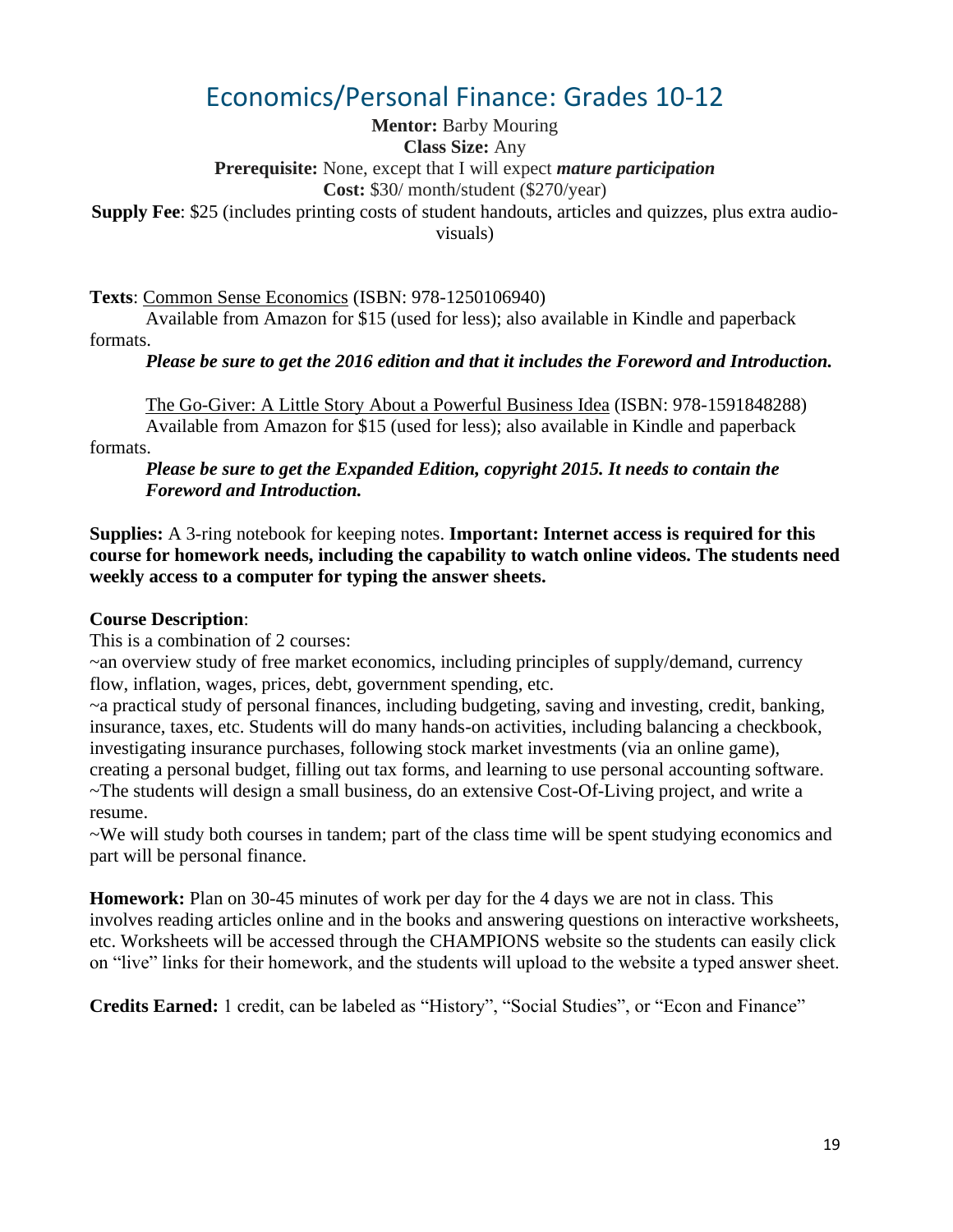## <span id="page-18-0"></span>Economics/Personal Finance: Grades 10-12

**Mentor:** Barby Mouring

**Class Size:** Any

**Prerequisite:** None, except that I will expect *mature participation*

**Cost:** \$30/ month/student (\$270/year)

**Supply Fee**: \$25 (includes printing costs of student handouts, articles and quizzes, plus extra audiovisuals)

**Texts**: Common Sense Economics (ISBN: 978-1250106940)

Available from Amazon for \$15 (used for less); also available in Kindle and paperback formats.

*Please be sure to get the 2016 edition and that it includes the Foreword and Introduction.*

The Go-Giver: A Little Story About a Powerful Business Idea (ISBN: 978-1591848288)

Available from Amazon for \$15 (used for less); also available in Kindle and paperback formats.

*Please be sure to get the Expanded Edition, copyright 2015. It needs to contain the Foreword and Introduction.*

**Supplies:** A 3-ring notebook for keeping notes. **Important: Internet access is required for this course for homework needs, including the capability to watch online videos. The students need weekly access to a computer for typing the answer sheets.**

#### **Course Description**:

This is a combination of 2 courses:

~an overview study of free market economics, including principles of supply/demand, currency flow, inflation, wages, prices, debt, government spending, etc.

~a practical study of personal finances, including budgeting, saving and investing, credit, banking, insurance, taxes, etc. Students will do many hands-on activities, including balancing a checkbook, investigating insurance purchases, following stock market investments (via an online game), creating a personal budget, filling out tax forms, and learning to use personal accounting software. ~The students will design a small business, do an extensive Cost-Of-Living project, and write a resume.

 $\sim$ We will study both courses in tandem; part of the class time will be spent studying economics and part will be personal finance.

**Homework:** Plan on 30-45 minutes of work per day for the 4 days we are not in class. This involves reading articles online and in the books and answering questions on interactive worksheets, etc. Worksheets will be accessed through the CHAMPIONS website so the students can easily click on "live" links for their homework, and the students will upload to the website a typed answer sheet.

**Credits Earned:** 1 credit, can be labeled as "History", "Social Studies", or "Econ and Finance"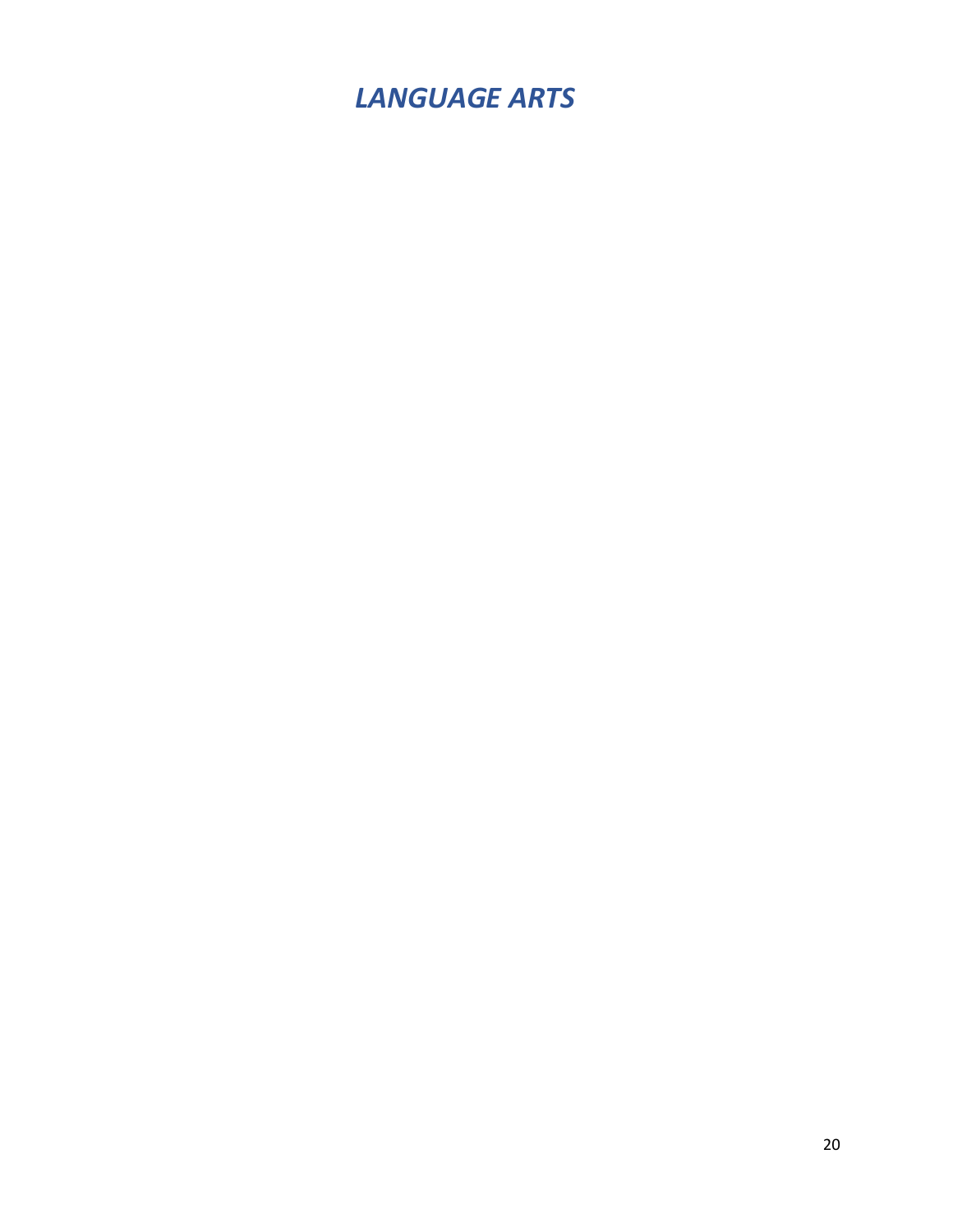<span id="page-19-0"></span>*LANGUAGE ARTS*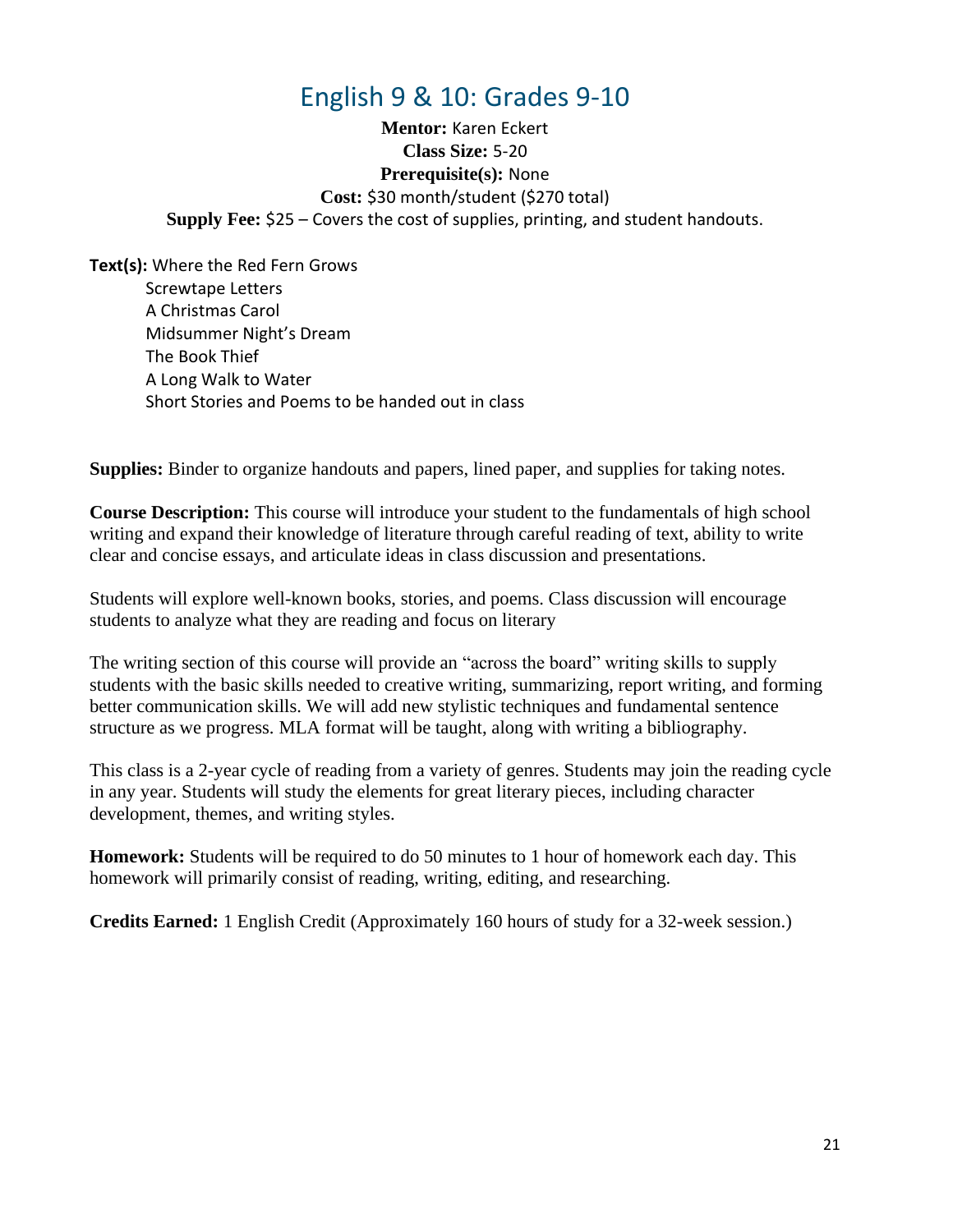## English 9 & 10: Grades 9-10

<span id="page-20-0"></span>**Mentor:** Karen Eckert **Class Size:** 5-20 **Prerequisite(s):** None **Cost:** \$30 month/student (\$270 total) **Supply Fee:** \$25 – Covers the cost of supplies, printing, and student handouts.

**Text(s):** Where the Red Fern Grows Screwtape Letters A Christmas Carol Midsummer Night's Dream The Book Thief A Long Walk to Water Short Stories and Poems to be handed out in class

**Supplies:** Binder to organize handouts and papers, lined paper, and supplies for taking notes.

**Course Description:** This course will introduce your student to the fundamentals of high school writing and expand their knowledge of literature through careful reading of text, ability to write clear and concise essays, and articulate ideas in class discussion and presentations.

Students will explore well-known books, stories, and poems. Class discussion will encourage students to analyze what they are reading and focus on literary

The writing section of this course will provide an "across the board" writing skills to supply students with the basic skills needed to creative writing, summarizing, report writing, and forming better communication skills. We will add new stylistic techniques and fundamental sentence structure as we progress. MLA format will be taught, along with writing a bibliography.

This class is a 2-year cycle of reading from a variety of genres. Students may join the reading cycle in any year. Students will study the elements for great literary pieces, including character development, themes, and writing styles.

**Homework:** Students will be required to do 50 minutes to 1 hour of homework each day. This homework will primarily consist of reading, writing, editing, and researching.

**Credits Earned:** 1 English Credit (Approximately 160 hours of study for a 32-week session.)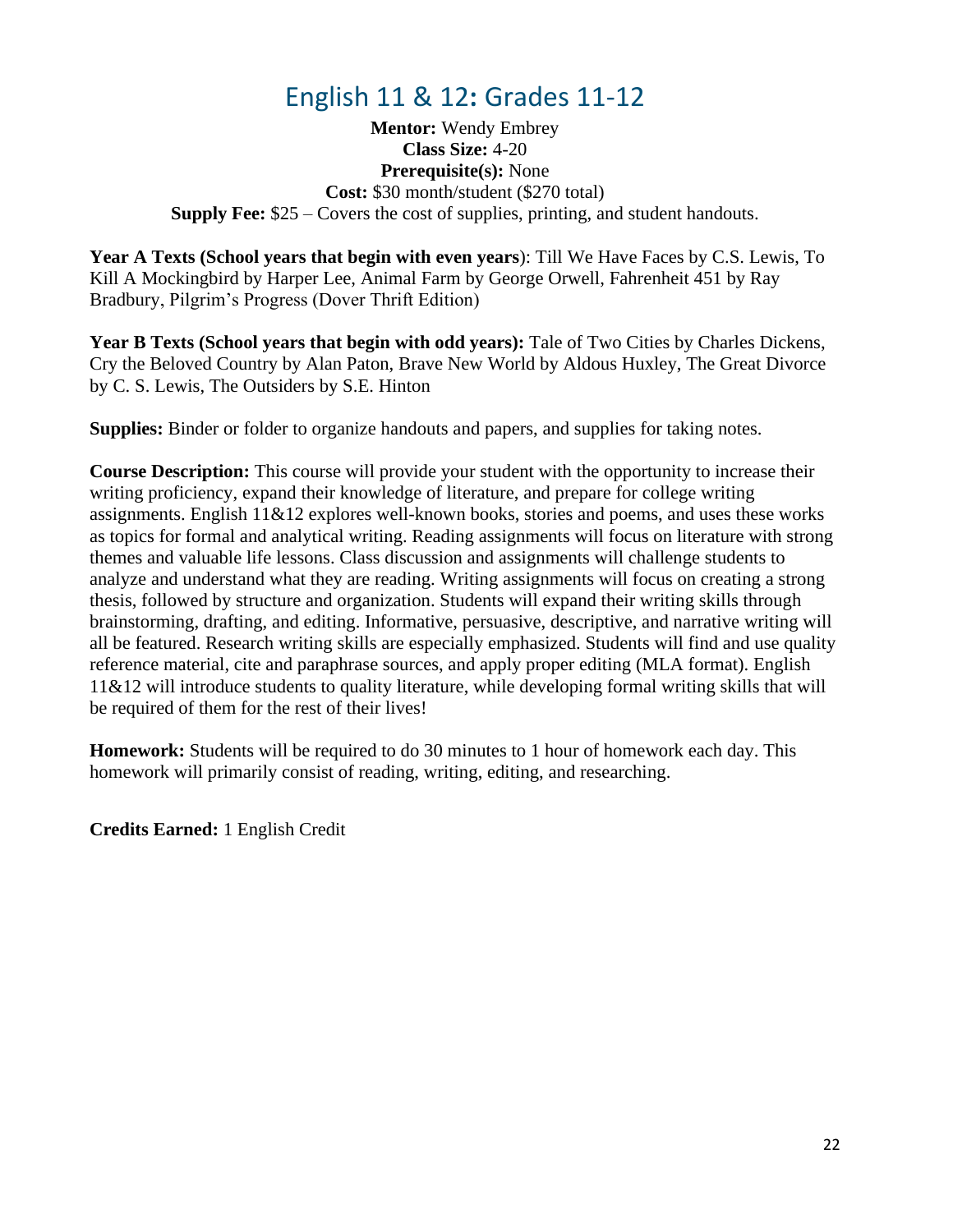## English 11 & 12**:** Grades 11-12

<span id="page-21-0"></span>**Mentor:** Wendy Embrey **Class Size:** 4-20 **Prerequisite(s):** None **Cost:** \$30 month/student (\$270 total) **Supply Fee:** \$25 – Covers the cost of supplies, printing, and student handouts.

**Year A Texts (School years that begin with even years**): Till We Have Faces by C.S. Lewis, To Kill A Mockingbird by Harper Lee, Animal Farm by George Orwell, Fahrenheit 451 by Ray Bradbury, Pilgrim's Progress (Dover Thrift Edition)

**Year B Texts (School years that begin with odd years):** Tale of Two Cities by Charles Dickens, Cry the Beloved Country by Alan Paton, Brave New World by Aldous Huxley, The Great Divorce by C. S. Lewis, The Outsiders by S.E. Hinton

**Supplies:** Binder or folder to organize handouts and papers, and supplies for taking notes.

**Course Description:** This course will provide your student with the opportunity to increase their writing proficiency, expand their knowledge of literature, and prepare for college writing assignments. English  $11\&12$  explores well-known books, stories and poems, and uses these works as topics for formal and analytical writing. Reading assignments will focus on literature with strong themes and valuable life lessons. Class discussion and assignments will challenge students to analyze and understand what they are reading. Writing assignments will focus on creating a strong thesis, followed by structure and organization. Students will expand their writing skills through brainstorming, drafting, and editing. Informative, persuasive, descriptive, and narrative writing will all be featured. Research writing skills are especially emphasized. Students will find and use quality reference material, cite and paraphrase sources, and apply proper editing (MLA format). English 11&12 will introduce students to quality literature, while developing formal writing skills that will be required of them for the rest of their lives!

**Homework:** Students will be required to do 30 minutes to 1 hour of homework each day. This homework will primarily consist of reading, writing, editing, and researching.

**Credits Earned:** 1 English Credit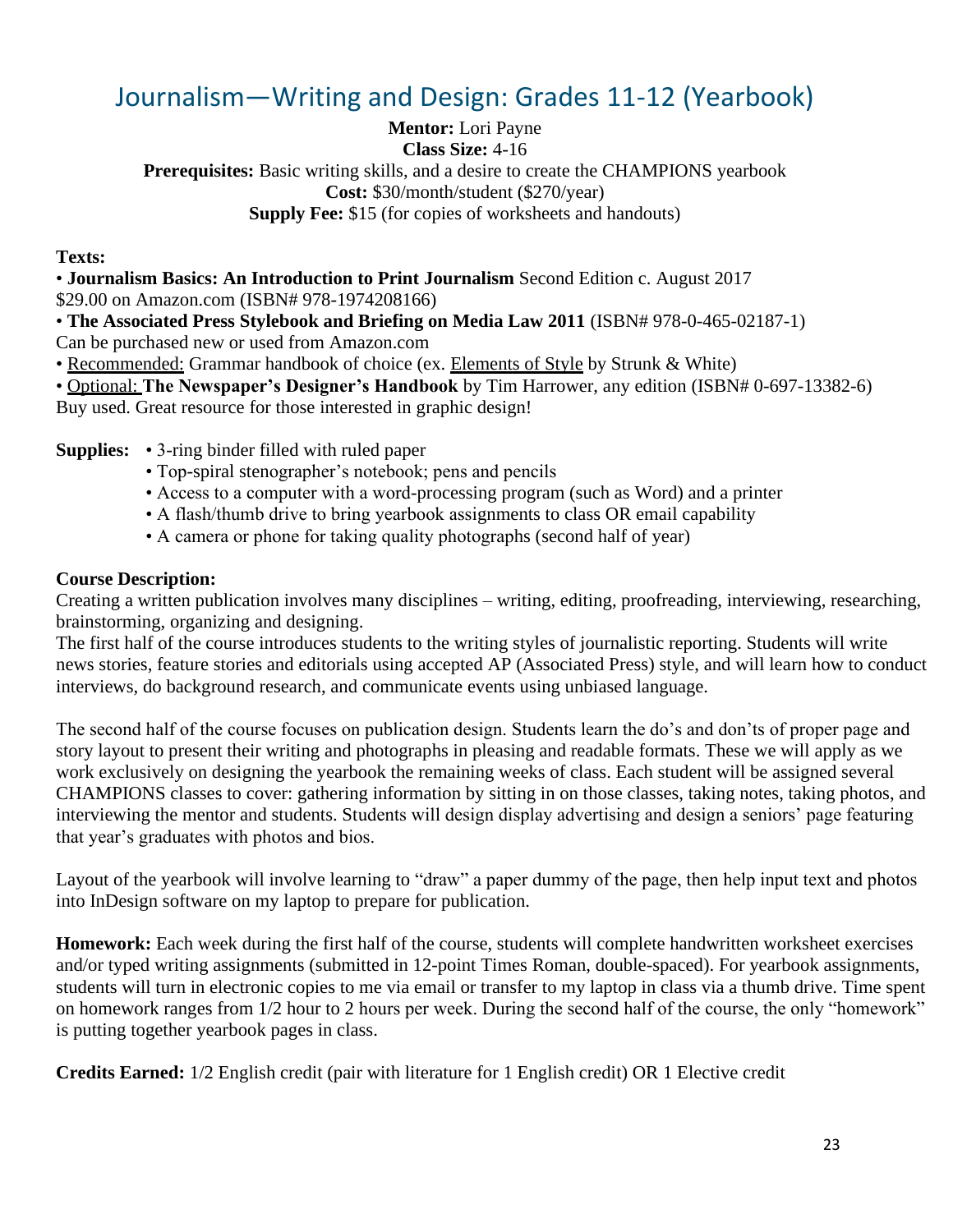## <span id="page-22-0"></span>Journalism—Writing and Design: Grades 11-12 (Yearbook)

**Mentor:** Lori Payne **Class Size:** 4-16 **Prerequisites:** Basic writing skills, and a desire to create the CHAMPIONS yearbook **Cost:** \$30/month/student (\$270/year) **Supply Fee:** \$15 (for copies of worksheets and handouts)

**Texts:**

• **Journalism Basics: An Introduction to Print Journalism** Second Edition c. August 2017

\$29.00 on Amazon.com (ISBN# 978-1974208166)

• **The Associated Press Stylebook and Briefing on Media Law 2011** (ISBN# 978-0-465-02187-1)

Can be purchased new or used from Amazon.com

• Recommended: Grammar handbook of choice (ex. Elements of Style by Strunk & White)

• Optional: **The Newspaper's Designer's Handbook** by Tim Harrower, any edition (ISBN# 0-697-13382-6)

Buy used. Great resource for those interested in graphic design!

**Supplies:** • 3-ring binder filled with ruled paper

- Top-spiral stenographer's notebook; pens and pencils
- Access to a computer with a word-processing program (such as Word) and a printer
- A flash/thumb drive to bring yearbook assignments to class OR email capability
- A camera or phone for taking quality photographs (second half of year)

#### **Course Description:**

Creating a written publication involves many disciplines – writing, editing, proofreading, interviewing, researching, brainstorming, organizing and designing.

The first half of the course introduces students to the writing styles of journalistic reporting. Students will write news stories, feature stories and editorials using accepted AP (Associated Press) style, and will learn how to conduct interviews, do background research, and communicate events using unbiased language.

The second half of the course focuses on publication design. Students learn the do's and don'ts of proper page and story layout to present their writing and photographs in pleasing and readable formats. These we will apply as we work exclusively on designing the yearbook the remaining weeks of class. Each student will be assigned several CHAMPIONS classes to cover: gathering information by sitting in on those classes, taking notes, taking photos, and interviewing the mentor and students. Students will design display advertising and design a seniors' page featuring that year's graduates with photos and bios.

Layout of the yearbook will involve learning to "draw" a paper dummy of the page, then help input text and photos into InDesign software on my laptop to prepare for publication.

**Homework:** Each week during the first half of the course, students will complete handwritten worksheet exercises and/or typed writing assignments (submitted in 12-point Times Roman, double-spaced). For yearbook assignments, students will turn in electronic copies to me via email or transfer to my laptop in class via a thumb drive. Time spent on homework ranges from 1/2 hour to 2 hours per week. During the second half of the course, the only "homework" is putting together yearbook pages in class.

**Credits Earned:** 1/2 English credit (pair with literature for 1 English credit) OR 1 Elective credit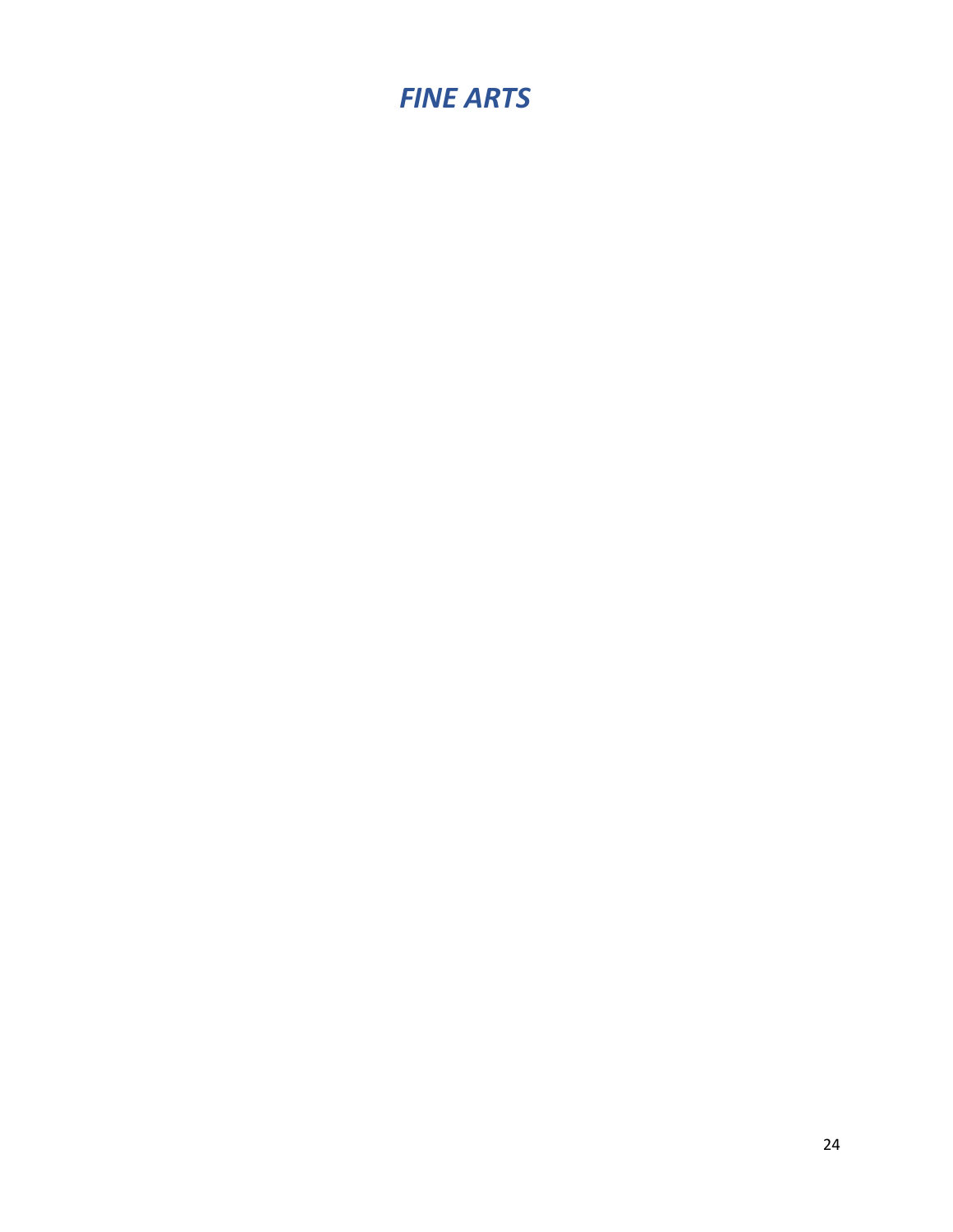## <span id="page-23-0"></span>*FINE ARTS*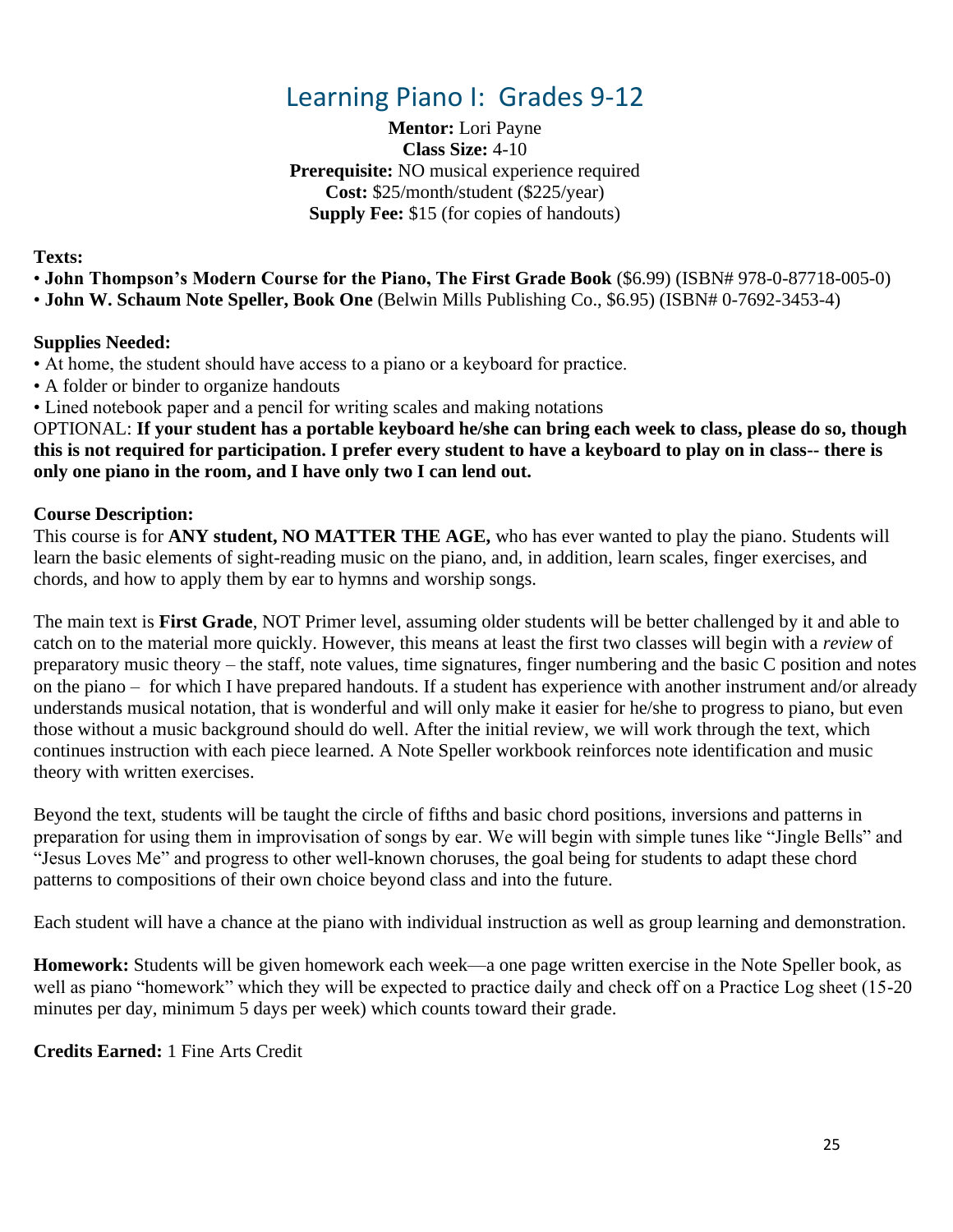## Learning Piano I: Grades 9-12

**Mentor:** Lori Payne **Class Size:** 4-10 **Prerequisite:** NO musical experience required **Cost:** \$25/month/student (\$225/year) **Supply Fee:** \$15 (for copies of handouts)

<span id="page-24-0"></span>**Texts:** 

• **John Thompson's Modern Course for the Piano, The First Grade Book** (\$6.99) (ISBN# 978-0-87718-005-0)

• **John W. Schaum Note Speller, Book One** (Belwin Mills Publishing Co., \$6.95) (ISBN# 0-7692-3453-4)

#### **Supplies Needed:**

- At home, the student should have access to a piano or a keyboard for practice.
- A folder or binder to organize handouts

• Lined notebook paper and a pencil for writing scales and making notations

OPTIONAL: **If your student has a portable keyboard he/she can bring each week to class, please do so, though this is not required for participation. I prefer every student to have a keyboard to play on in class-- there is only one piano in the room, and I have only two I can lend out.**

#### **Course Description:**

This course is for **ANY student, NO MATTER THE AGE,** who has ever wanted to play the piano. Students will learn the basic elements of sight-reading music on the piano, and, in addition, learn scales, finger exercises, and chords, and how to apply them by ear to hymns and worship songs.

The main text is **First Grade**, NOT Primer level, assuming older students will be better challenged by it and able to catch on to the material more quickly. However, this means at least the first two classes will begin with a *review* of preparatory music theory – the staff, note values, time signatures, finger numbering and the basic C position and notes on the piano – for which I have prepared handouts. If a student has experience with another instrument and/or already understands musical notation, that is wonderful and will only make it easier for he/she to progress to piano, but even those without a music background should do well. After the initial review, we will work through the text, which continues instruction with each piece learned. A Note Speller workbook reinforces note identification and music theory with written exercises.

Beyond the text, students will be taught the circle of fifths and basic chord positions, inversions and patterns in preparation for using them in improvisation of songs by ear. We will begin with simple tunes like "Jingle Bells" and "Jesus Loves Me" and progress to other well-known choruses, the goal being for students to adapt these chord patterns to compositions of their own choice beyond class and into the future.

Each student will have a chance at the piano with individual instruction as well as group learning and demonstration.

**Homework:** Students will be given homework each week—a one page written exercise in the Note Speller book, as well as piano "homework" which they will be expected to practice daily and check off on a Practice Log sheet (15-20 minutes per day, minimum 5 days per week) which counts toward their grade.

**Credits Earned:** 1 Fine Arts Credit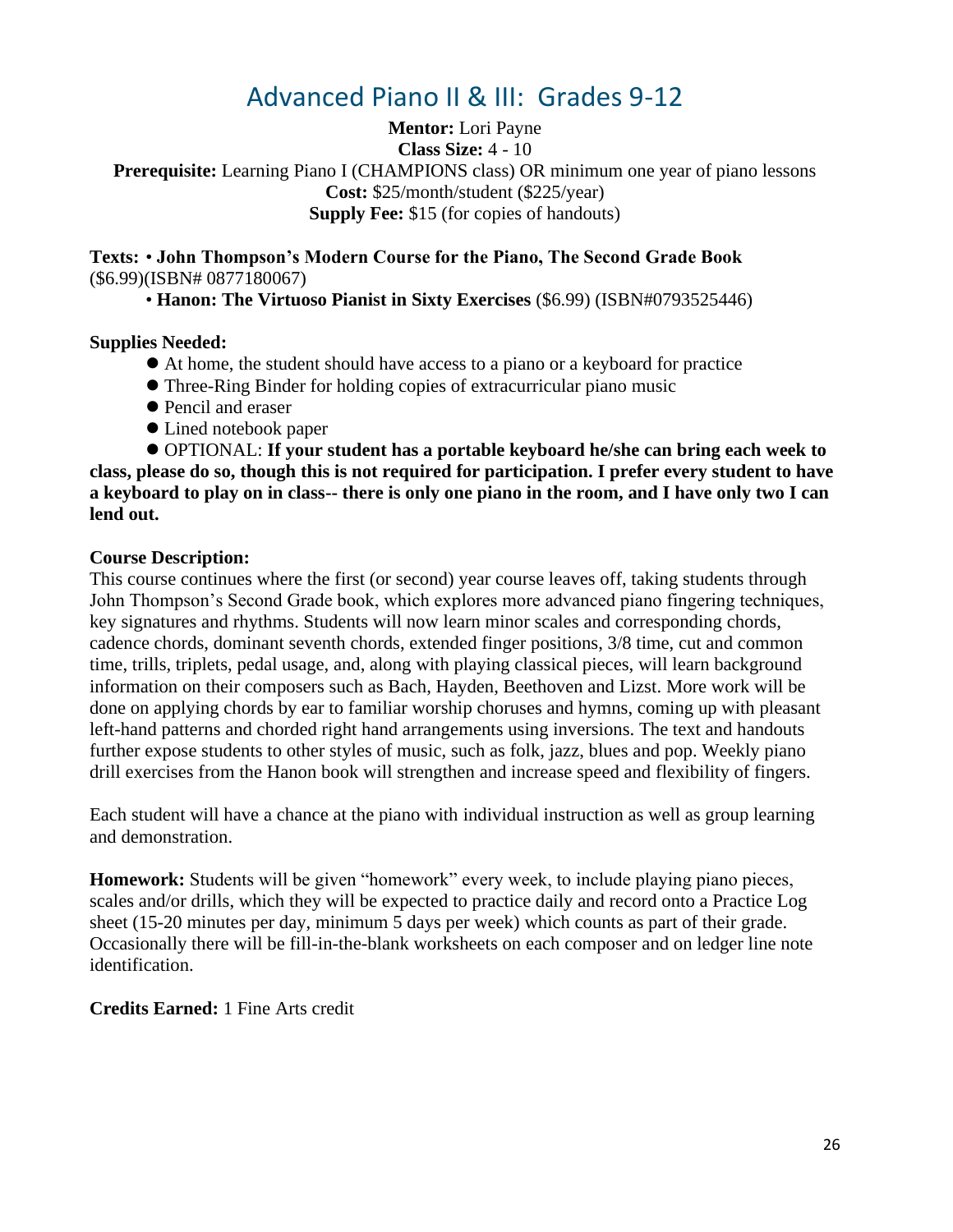## Advanced Piano II & III: Grades 9-12

<span id="page-25-0"></span>**Mentor:** Lori Payne **Class Size:** 4 - 10 **Prerequisite:** Learning Piano I (CHAMPIONS class) OR minimum one year of piano lessons **Cost:** \$25/month/student (\$225/year) **Supply Fee:** \$15 (for copies of handouts)

**Texts:** • **John Thompson's Modern Course for the Piano, The Second Grade Book** (\$6.99)(ISBN# 0877180067)

• **Hanon: The Virtuoso Pianist in Sixty Exercises** (\$6.99) (ISBN#0793525446)

#### **Supplies Needed:**

- ⚫ At home, the student should have access to a piano or a keyboard for practice
- ⚫ Three-Ring Binder for holding copies of extracurricular piano music
- Pencil and eraser
- ⚫ Lined notebook paper

⚫ OPTIONAL: **If your student has a portable keyboard he/she can bring each week to class, please do so, though this is not required for participation. I prefer every student to have a keyboard to play on in class-- there is only one piano in the room, and I have only two I can lend out.**

#### **Course Description:**

This course continues where the first (or second) year course leaves off, taking students through John Thompson's Second Grade book, which explores more advanced piano fingering techniques, key signatures and rhythms. Students will now learn minor scales and corresponding chords, cadence chords, dominant seventh chords, extended finger positions, 3/8 time, cut and common time, trills, triplets, pedal usage, and, along with playing classical pieces, will learn background information on their composers such as Bach, Hayden, Beethoven and Lizst. More work will be done on applying chords by ear to familiar worship choruses and hymns, coming up with pleasant left-hand patterns and chorded right hand arrangements using inversions. The text and handouts further expose students to other styles of music, such as folk, jazz, blues and pop. Weekly piano drill exercises from the Hanon book will strengthen and increase speed and flexibility of fingers.

Each student will have a chance at the piano with individual instruction as well as group learning and demonstration.

**Homework:** Students will be given "homework" every week, to include playing piano pieces, scales and/or drills, which they will be expected to practice daily and record onto a Practice Log sheet (15-20 minutes per day, minimum 5 days per week) which counts as part of their grade. Occasionally there will be fill-in-the-blank worksheets on each composer and on ledger line note identification.

#### **Credits Earned:** 1 Fine Arts credit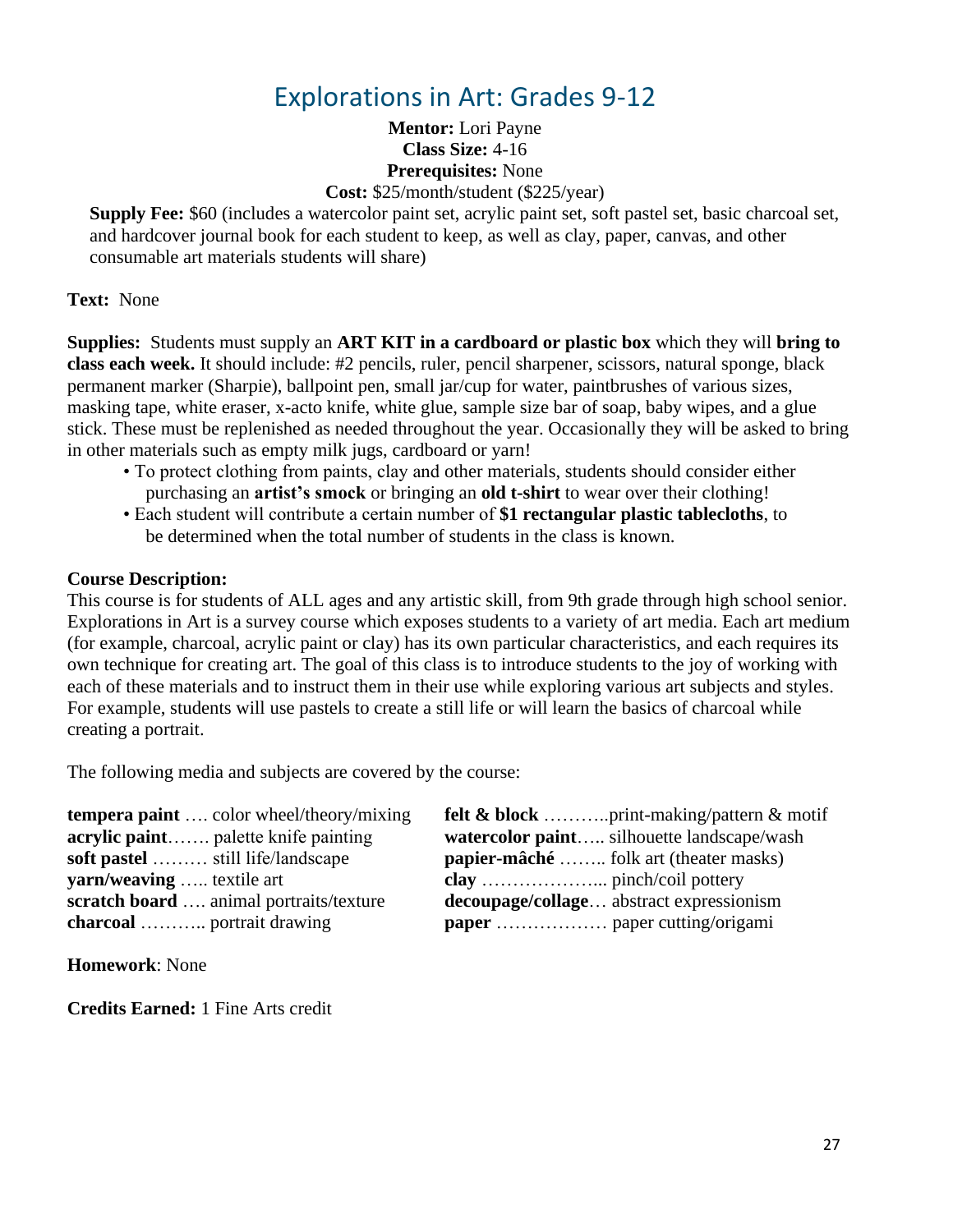## Explorations in Art: Grades 9-12

#### **Mentor:** Lori Payne **Class Size:** 4-16 **Prerequisites:** None **Cost:** \$25/month/student (\$225/year)

<span id="page-26-0"></span>**Supply Fee:** \$60 (includes a watercolor paint set, acrylic paint set, soft pastel set, basic charcoal set, and hardcover journal book for each student to keep, as well as clay, paper, canvas, and other consumable art materials students will share)

#### **Text:** None

**Supplies:** Students must supply an **ART KIT in a cardboard or plastic box** which they will **bring to class each week.** It should include: #2 pencils, ruler, pencil sharpener, scissors, natural sponge, black permanent marker (Sharpie), ballpoint pen, small jar/cup for water, paintbrushes of various sizes, masking tape, white eraser, x-acto knife, white glue, sample size bar of soap, baby wipes, and a glue stick. These must be replenished as needed throughout the year. Occasionally they will be asked to bring in other materials such as empty milk jugs, cardboard or yarn!

- To protect clothing from paints, clay and other materials, students should consider either purchasing an **artist's smock** or bringing an **old t-shirt** to wear over their clothing!
- Each student will contribute a certain number of **\$1 rectangular plastic tablecloths**, to be determined when the total number of students in the class is known.

#### **Course Description:**

This course is for students of ALL ages and any artistic skill, from 9th grade through high school senior. Explorations in Art is a survey course which exposes students to a variety of art media. Each art medium (for example, charcoal, acrylic paint or clay) has its own particular characteristics, and each requires its own technique for creating art. The goal of this class is to introduce students to the joy of working with each of these materials and to instruct them in their use while exploring various art subjects and styles. For example, students will use pastels to create a still life or will learn the basics of charcoal while creating a portrait.

The following media and subjects are covered by the course:

| <b>tempera paint</b> color wheel/theory/mixing | <b>felt &amp; block</b> print-making/pattern & motif |
|------------------------------------------------|------------------------------------------------------|
| <b>acrylic paint</b> palette knife painting    | watercolor paint silhouette landscape/wash           |
| <b>soft pastel</b> still life/landscape        | <b>papier-mâché</b> folk art (theater masks)         |
| <b>yarn/weaving</b> textile art                |                                                      |
| scratch board  animal portraits/texture        | <b>decoupage/collage</b> abstract expressionism      |
| <b>charcoal</b> portrait drawing               |                                                      |

**Homework**: None

**Credits Earned:** 1 Fine Arts credit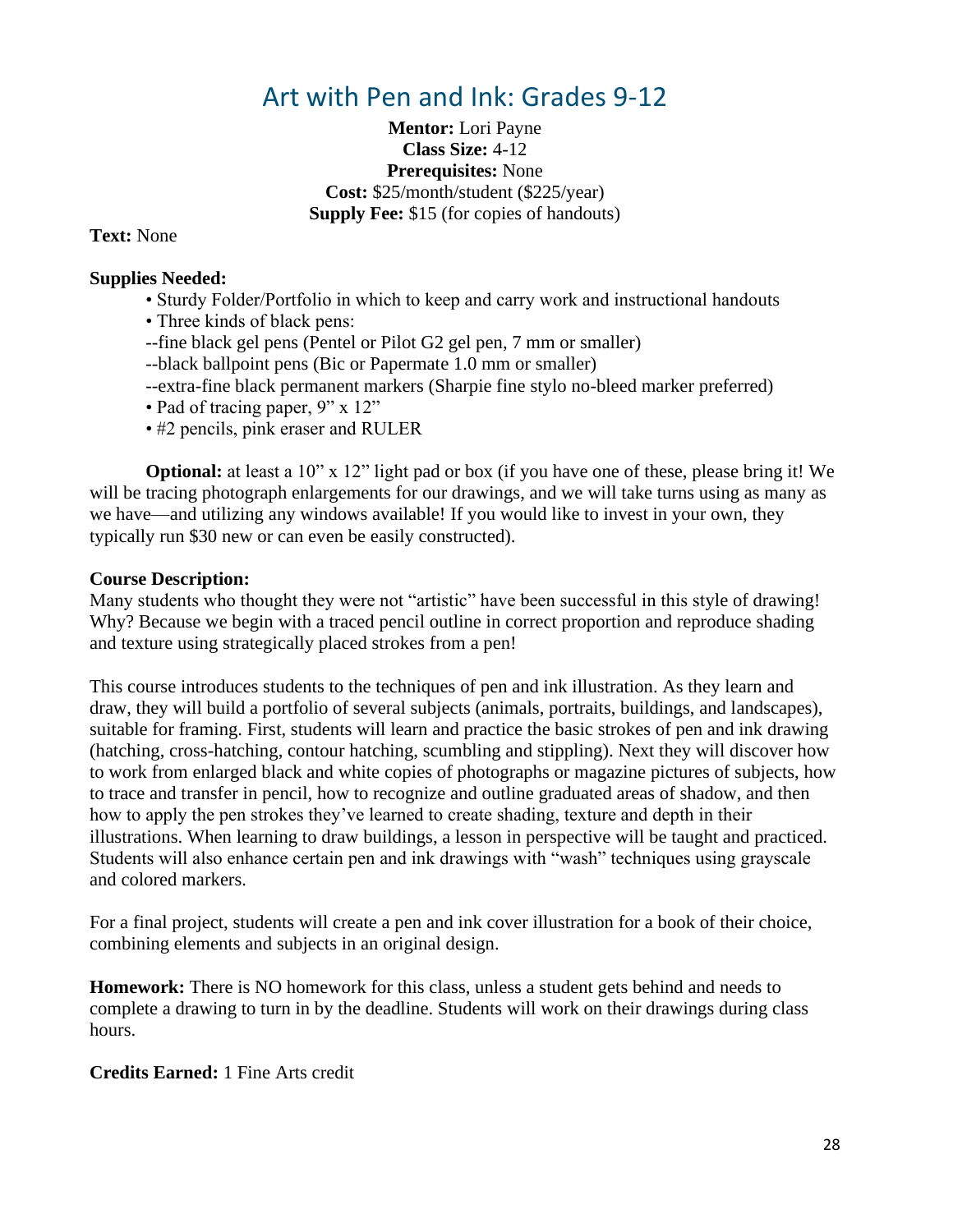## Art with Pen and Ink: Grades 9-12

**Mentor:** Lori Payne **Class Size:** 4-12 **Prerequisites:** None **Cost:** \$25/month/student (\$225/year) **Supply Fee:** \$15 (for copies of handouts)

<span id="page-27-0"></span>**Text:** None

#### **Supplies Needed:**

- Sturdy Folder/Portfolio in which to keep and carry work and instructional handouts
- Three kinds of black pens:
- --fine black gel pens (Pentel or Pilot G2 gel pen, 7 mm or smaller)
- --black ballpoint pens (Bic or Papermate 1.0 mm or smaller)
- --extra-fine black permanent markers (Sharpie fine stylo no-bleed marker preferred)
- Pad of tracing paper, 9" x 12"
- #2 pencils, pink eraser and RULER

**Optional:** at least a 10" x 12" light pad or box (if you have one of these, please bring it! We will be tracing photograph enlargements for our drawings, and we will take turns using as many as we have—and utilizing any windows available! If you would like to invest in your own, they typically run \$30 new or can even be easily constructed).

#### **Course Description:**

Many students who thought they were not "artistic" have been successful in this style of drawing! Why? Because we begin with a traced pencil outline in correct proportion and reproduce shading and texture using strategically placed strokes from a pen!

This course introduces students to the techniques of pen and ink illustration. As they learn and draw, they will build a portfolio of several subjects (animals, portraits, buildings, and landscapes), suitable for framing. First, students will learn and practice the basic strokes of pen and ink drawing (hatching, cross-hatching, contour hatching, scumbling and stippling). Next they will discover how to work from enlarged black and white copies of photographs or magazine pictures of subjects, how to trace and transfer in pencil, how to recognize and outline graduated areas of shadow, and then how to apply the pen strokes they've learned to create shading, texture and depth in their illustrations. When learning to draw buildings, a lesson in perspective will be taught and practiced. Students will also enhance certain pen and ink drawings with "wash" techniques using grayscale and colored markers.

For a final project, students will create a pen and ink cover illustration for a book of their choice, combining elements and subjects in an original design.

**Homework:** There is NO homework for this class, unless a student gets behind and needs to complete a drawing to turn in by the deadline. Students will work on their drawings during class hours.

#### **Credits Earned:** 1 Fine Arts credit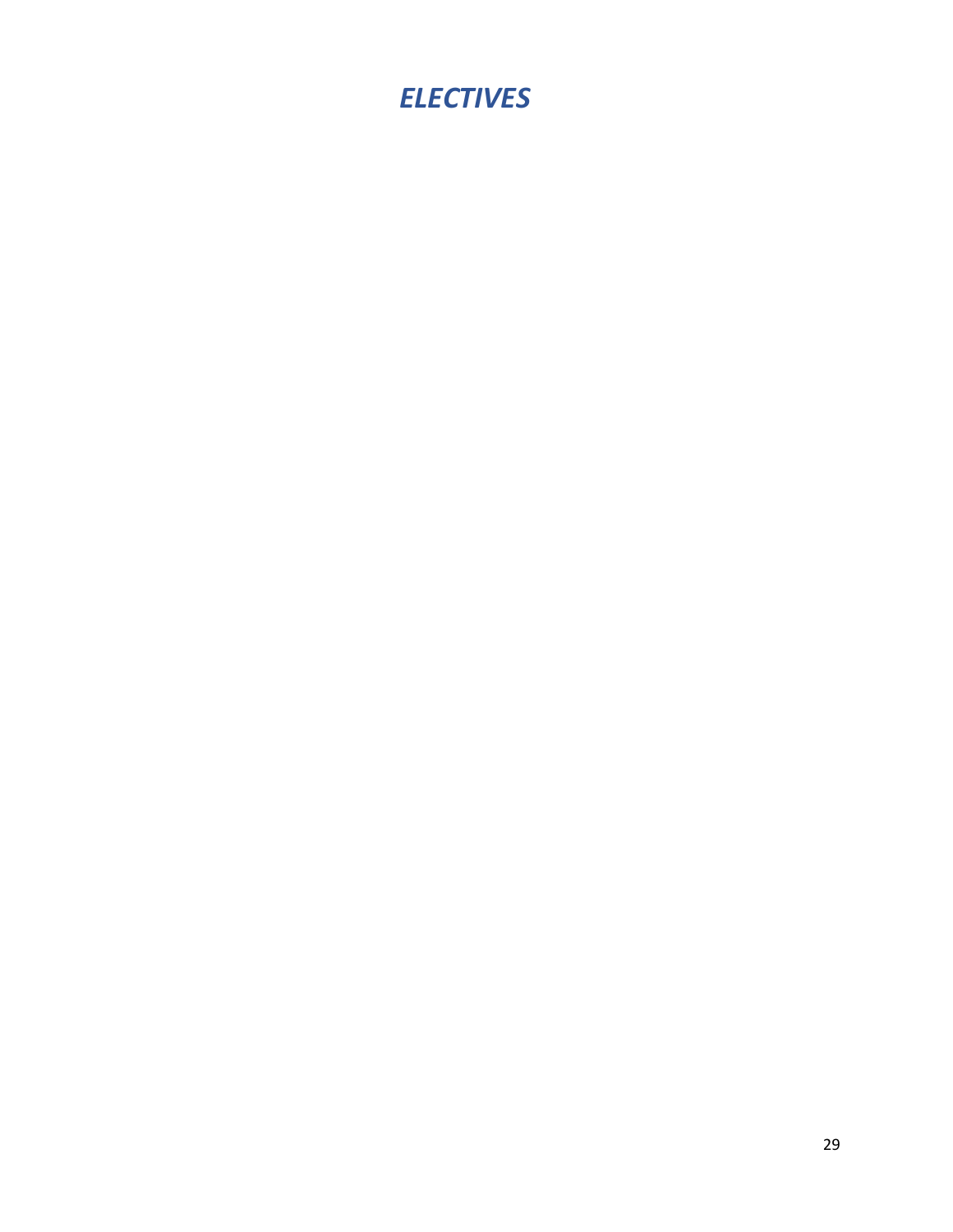## <span id="page-28-0"></span>*ELECTIVES*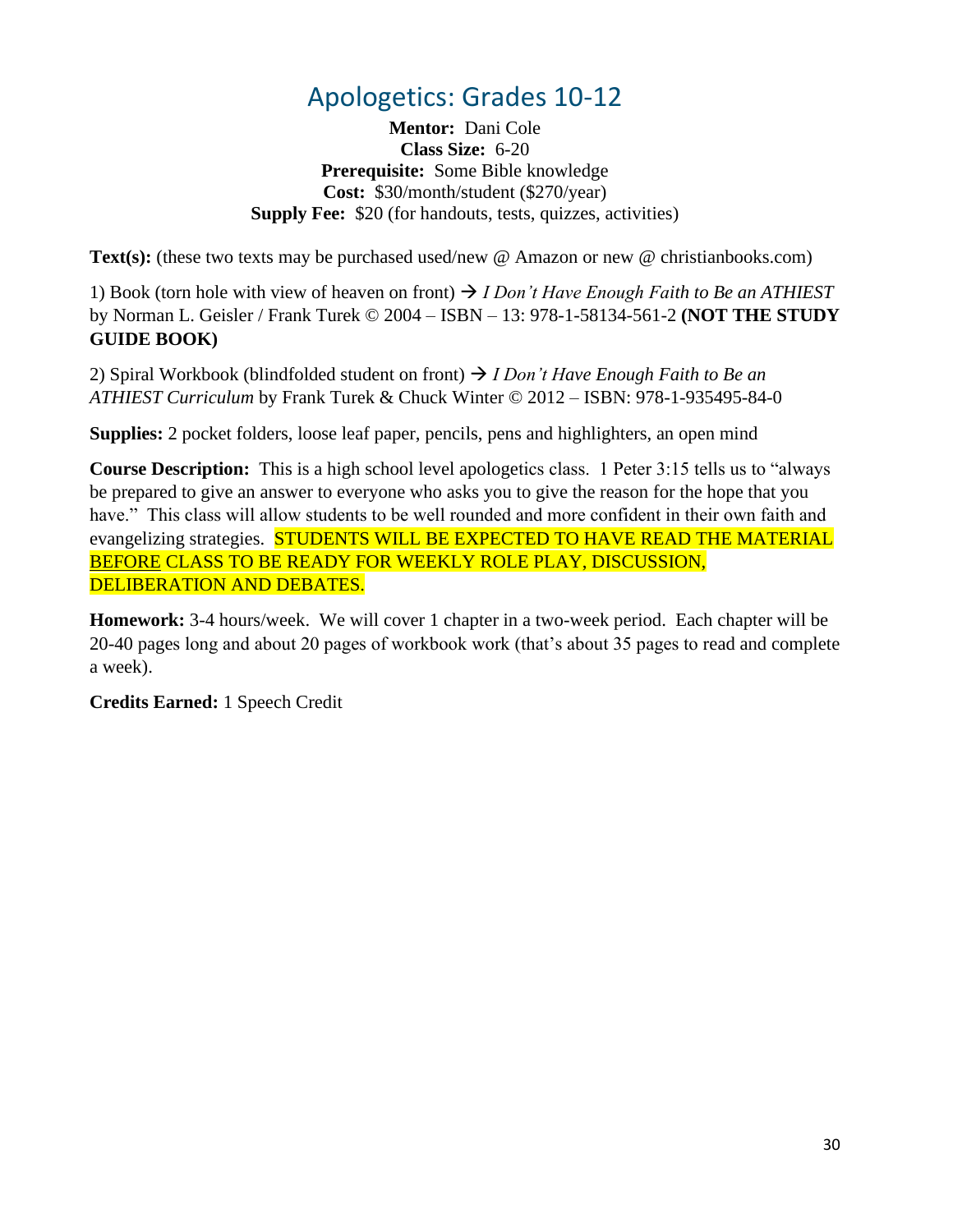## Apologetics: Grades 10-12

**Mentor:** Dani Cole **Class Size:** 6-20 **Prerequisite:** Some Bible knowledge **Cost:** \$30/month/student (\$270/year) **Supply Fee:** \$20 (for handouts, tests, quizzes, activities)

<span id="page-29-0"></span>**Text(s):** (these two texts may be purchased used/new @ Amazon or new @ christianbooks.com)

1) Book (torn hole with view of heaven on front) → *I Don't Have Enough Faith to Be an ATHIEST* by Norman L. Geisler / Frank Turek © 2004 – ISBN – 13: 978-1-58134-561-2 **(NOT THE STUDY GUIDE BOOK)**

2) Spiral Workbook (blindfolded student on front) → *I Don't Have Enough Faith to Be an ATHIEST Curriculum* by Frank Turek & Chuck Winter © 2012 – ISBN: 978-1-935495-84-0

**Supplies:** 2 pocket folders, loose leaf paper, pencils, pens and highlighters, an open mind

**Course Description:** This is a high school level apologetics class. 1 Peter 3:15 tells us to "always be prepared to give an answer to everyone who asks you to give the reason for the hope that you have." This class will allow students to be well rounded and more confident in their own faith and evangelizing strategies. STUDENTS WILL BE EXPECTED TO HAVE READ THE MATERIAL BEFORE CLASS TO BE READY FOR WEEKLY ROLE PLAY, DISCUSSION, DELIBERATION AND DEBATES.

**Homework:** 3-4 hours/week. We will cover 1 chapter in a two-week period. Each chapter will be 20-40 pages long and about 20 pages of workbook work (that's about 35 pages to read and complete a week).

**Credits Earned:** 1 Speech Credit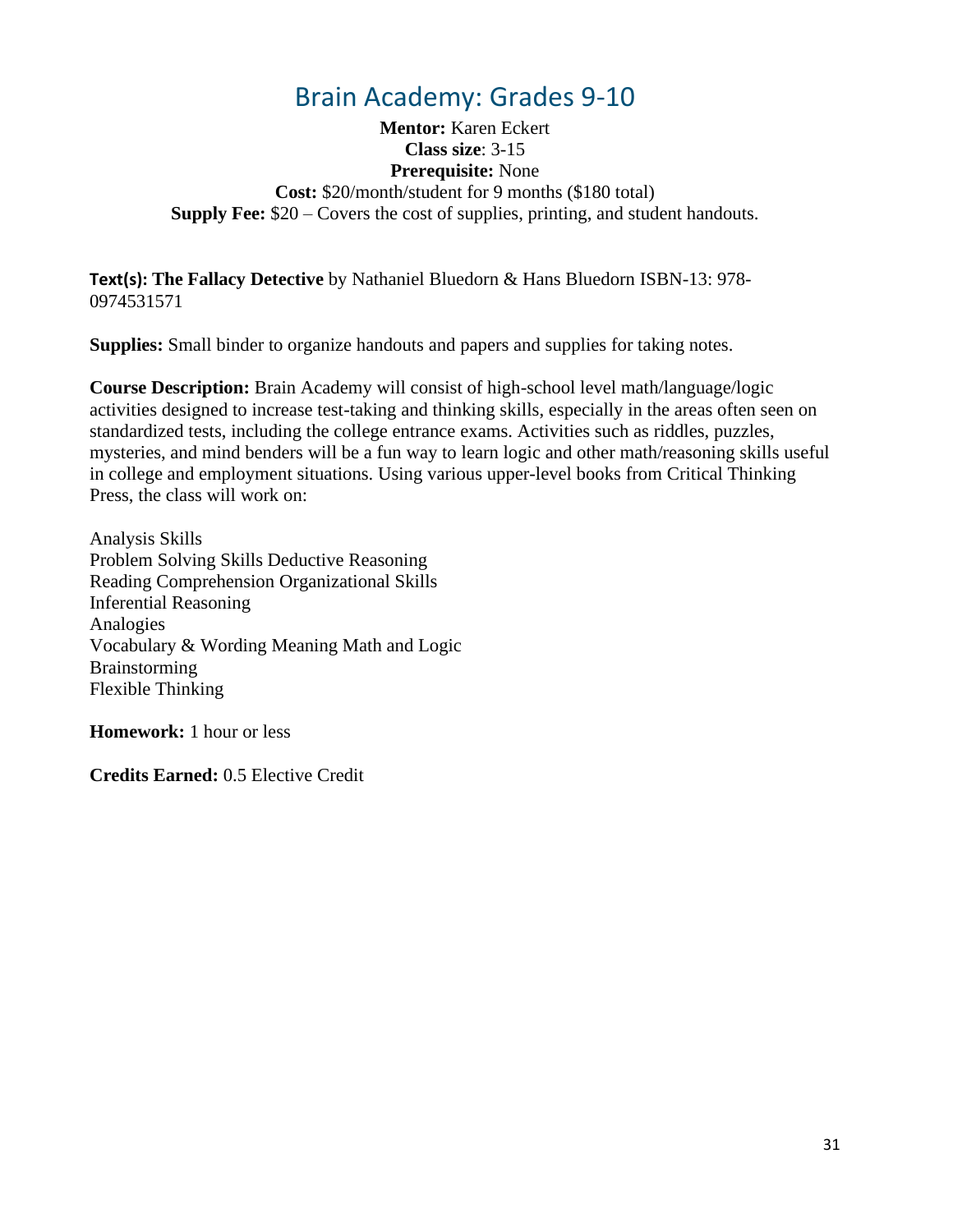## Brain Academy: Grades 9-10

<span id="page-30-0"></span>**Mentor:** Karen Eckert **Class size**: 3-15 **Prerequisite:** None **Cost:** \$20/month/student for 9 months (\$180 total) **Supply Fee:** \$20 – Covers the cost of supplies, printing, and student handouts.

**Text(s): The Fallacy Detective** by Nathaniel Bluedorn & Hans Bluedorn ISBN-13: 978- 0974531571

**Supplies:** Small binder to organize handouts and papers and supplies for taking notes.

**Course Description:** Brain Academy will consist of high-school level math/language/logic activities designed to increase test-taking and thinking skills, especially in the areas often seen on standardized tests, including the college entrance exams. Activities such as riddles, puzzles, mysteries, and mind benders will be a fun way to learn logic and other math/reasoning skills useful in college and employment situations. Using various upper-level books from Critical Thinking Press, the class will work on:

Analysis Skills Problem Solving Skills Deductive Reasoning Reading Comprehension Organizational Skills Inferential Reasoning Analogies Vocabulary & Wording Meaning Math and Logic Brainstorming Flexible Thinking

**Homework:** 1 hour or less

**Credits Earned:** 0.5 Elective Credit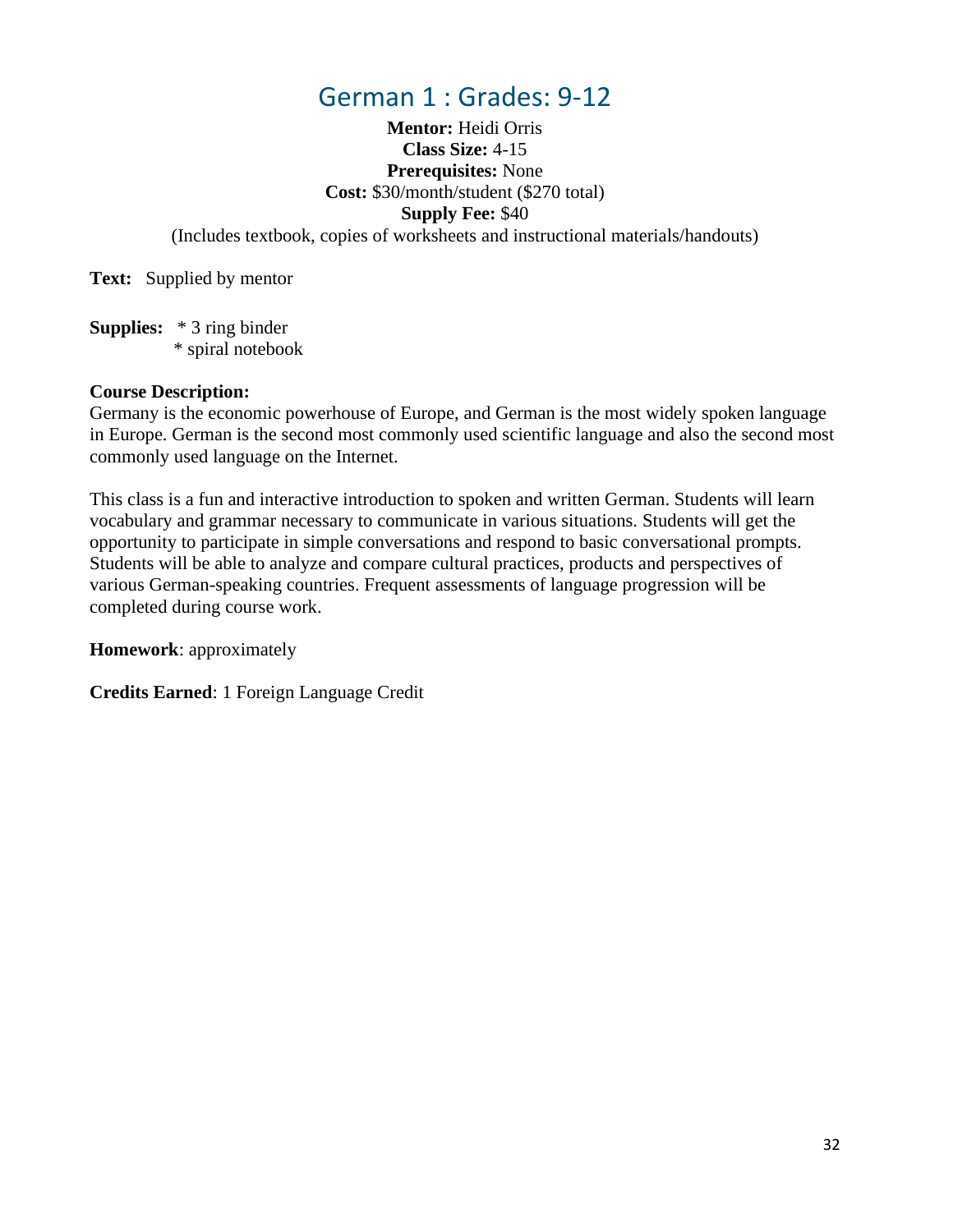## German 1 : Grades: 9-12

**Mentor:** Heidi Orris **Class Size:** 4-15 **Prerequisites:** None **Cost:** \$30/month/student (\$270 total) **Supply Fee:** \$40

<span id="page-31-0"></span>(Includes textbook, copies of worksheets and instructional materials/handouts)

**Text:** Supplied by mentor

**Supplies:** \* 3 ring binder \* spiral notebook

#### **Course Description:**

Germany is the economic powerhouse of Europe, and German is the most widely spoken language in Europe. German is the second most commonly used scientific language and also the second most commonly used language on the Internet.

This class is a fun and interactive introduction to spoken and written German. Students will learn vocabulary and grammar necessary to communicate in various situations. Students will get the opportunity to participate in simple conversations and respond to basic conversational prompts. Students will be able to analyze and compare cultural practices, products and perspectives of various German-speaking countries. Frequent assessments of language progression will be completed during course work.

**Homework**: approximately

**Credits Earned**: 1 Foreign Language Credit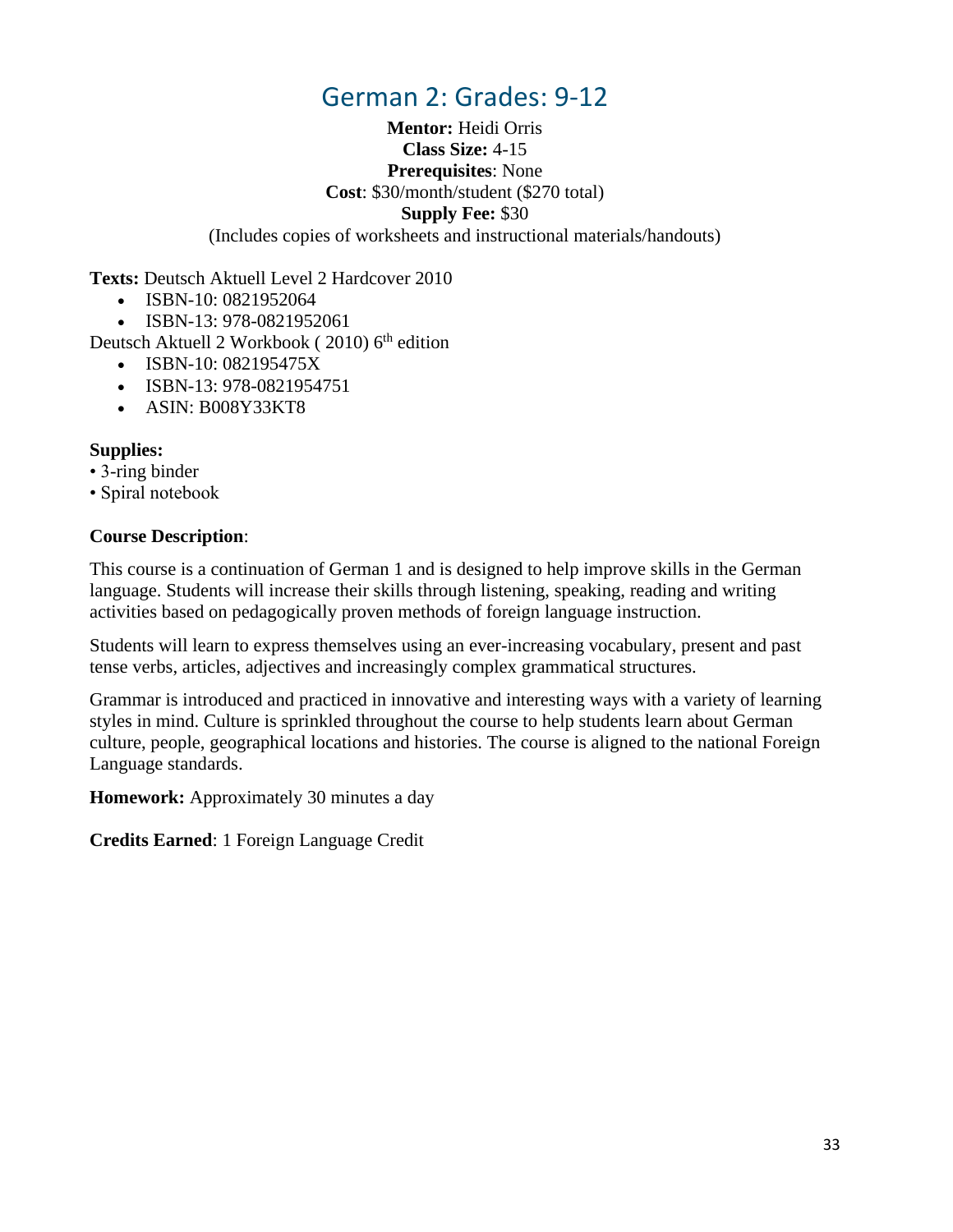## German 2: Grades: 9-12

#### **Mentor:** Heidi Orris **Class Size:** 4-15 **Prerequisites**: None **Cost**: \$30/month/student (\$270 total) **Supply Fee:** \$30

(Includes copies of worksheets and instructional materials/handouts)

<span id="page-32-0"></span>**Texts:** Deutsch Aktuell Level 2 Hardcover 2010

- ISBN-10: 0821952064
- ISBN-13: 978-0821952061

Deutsch Aktuell 2 Workbook ( $2010$ ) 6<sup>th</sup> edition

- ISBN-10: 082195475X
- ISBN-13: 978-0821954751
- ASIN: B008Y33KT8

#### **Supplies:**

- 3-ring binder
- Spiral notebook

#### **Course Description**:

This course is a continuation of German 1 and is designed to help improve skills in the German language. Students will increase their skills through listening, speaking, reading and writing activities based on pedagogically proven methods of foreign language instruction.

Students will learn to express themselves using an ever-increasing vocabulary, present and past tense verbs, articles, adjectives and increasingly complex grammatical structures.

Grammar is introduced and practiced in innovative and interesting ways with a variety of learning styles in mind. Culture is sprinkled throughout the course to help students learn about German culture, people, geographical locations and histories. The course is aligned to the national Foreign Language standards.

**Homework:** Approximately 30 minutes a day

**Credits Earned**: 1 Foreign Language Credit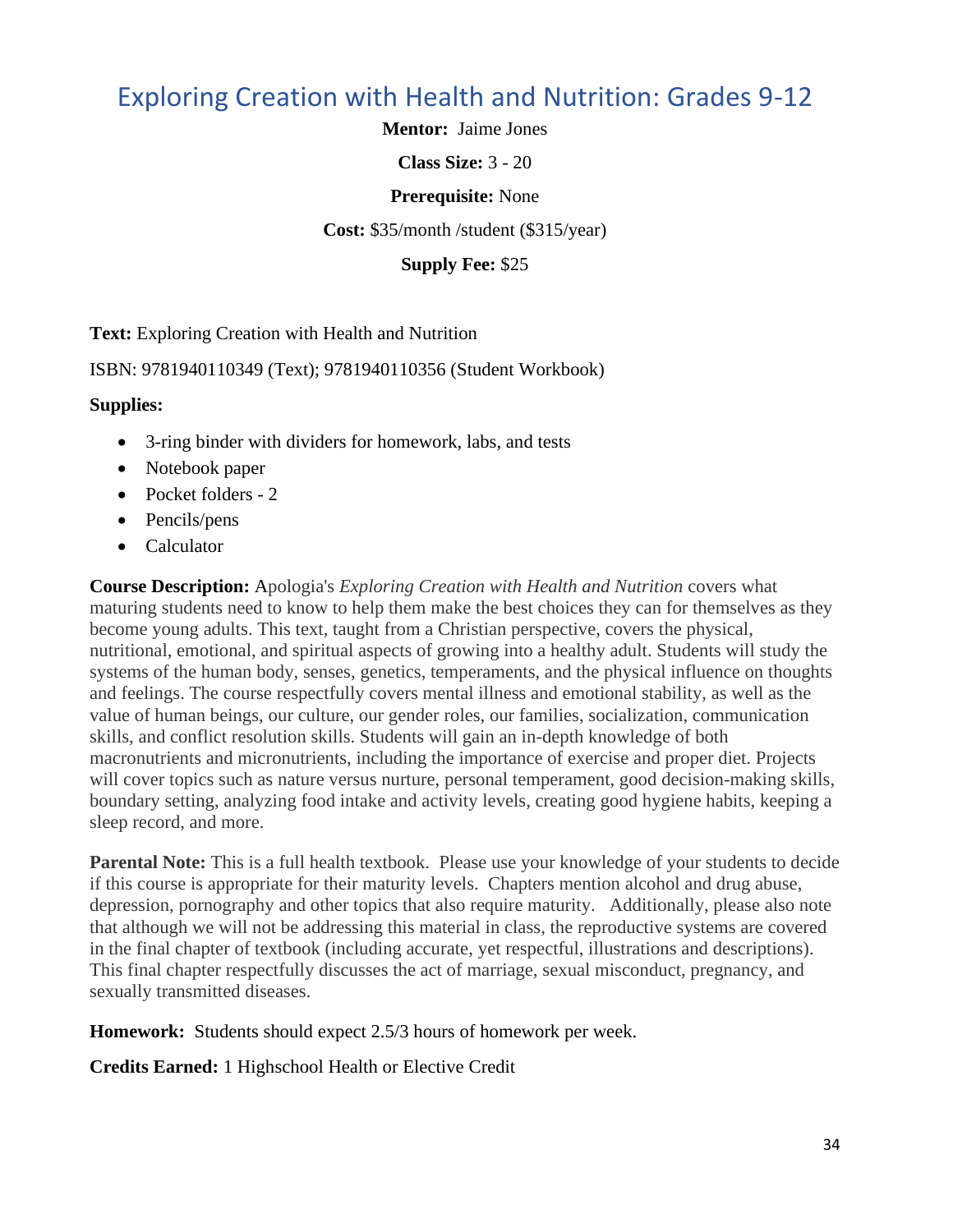## <span id="page-33-0"></span>Exploring Creation with Health and Nutrition: Grades 9-12

**Mentor:** Jaime Jones

**Class Size:** 3 - 20

#### **Prerequisite:** None

**Cost:** \$35/month /student (\$315/year)

**Supply Fee:** \$25

**Text:** Exploring Creation with Health and Nutrition

ISBN: 9781940110349 (Text); 9781940110356 (Student Workbook)

#### **Supplies:**

- 3-ring binder with dividers for homework, labs, and tests
- Notebook paper
- Pocket folders 2
- Pencils/pens
- Calculator

**Course Description:** Apologia's *Exploring Creation with Health and Nutrition* covers what maturing students need to know to help them make the best choices they can for themselves as they become young adults. This text, taught from a Christian perspective, covers the physical, nutritional, emotional, and spiritual aspects of growing into a healthy adult. Students will study the systems of the human body, senses, genetics, temperaments, and the physical influence on thoughts and feelings. The course respectfully covers mental illness and emotional stability, as well as the value of human beings, our culture, our gender roles, our families, socialization, communication skills, and conflict resolution skills. Students will gain an in-depth knowledge of both macronutrients and micronutrients, including the importance of exercise and proper diet. Projects will cover topics such as nature versus nurture, personal temperament, good decision-making skills, boundary setting, analyzing food intake and activity levels, creating good hygiene habits, keeping a sleep record, and more.

**Parental Note:** This is a full health textbook. Please use your knowledge of your students to decide if this course is appropriate for their maturity levels. Chapters mention alcohol and drug abuse, depression, pornography and other topics that also require maturity. Additionally, please also note that although we will not be addressing this material in class, the reproductive systems are covered in the final chapter of textbook (including accurate, yet respectful, illustrations and descriptions). This final chapter respectfully discusses the act of marriage, sexual misconduct, pregnancy, and sexually transmitted diseases.

**Homework:** Students should expect 2.5/3 hours of homework per week.

**Credits Earned:** 1 Highschool Health or Elective Credit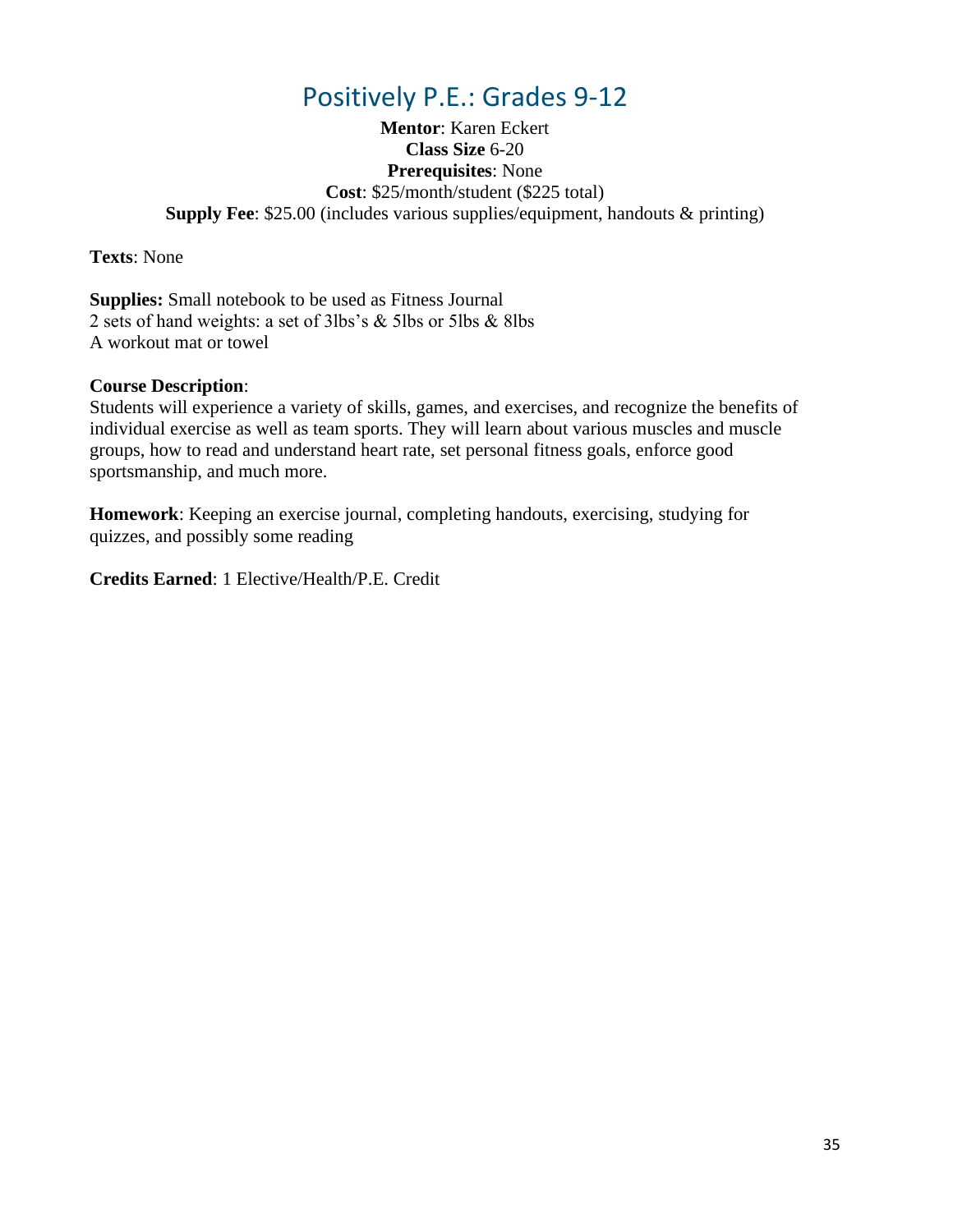## Positively P.E.: Grades 9-12

<span id="page-34-0"></span>**Mentor**: Karen Eckert **Class Size** 6-20 **Prerequisites**: None **Cost**: \$25/month/student (\$225 total) **Supply Fee**: \$25.00 (includes various supplies/equipment, handouts & printing)

**Texts**: None

**Supplies:** Small notebook to be used as Fitness Journal 2 sets of hand weights: a set of 3lbs's & 5lbs or 5lbs & 8lbs A workout mat or towel

#### **Course Description**:

Students will experience a variety of skills, games, and exercises, and recognize the benefits of individual exercise as well as team sports. They will learn about various muscles and muscle groups, how to read and understand heart rate, set personal fitness goals, enforce good sportsmanship, and much more.

**Homework**: Keeping an exercise journal, completing handouts, exercising, studying for quizzes, and possibly some reading

**Credits Earned**: 1 Elective/Health/P.E. Credit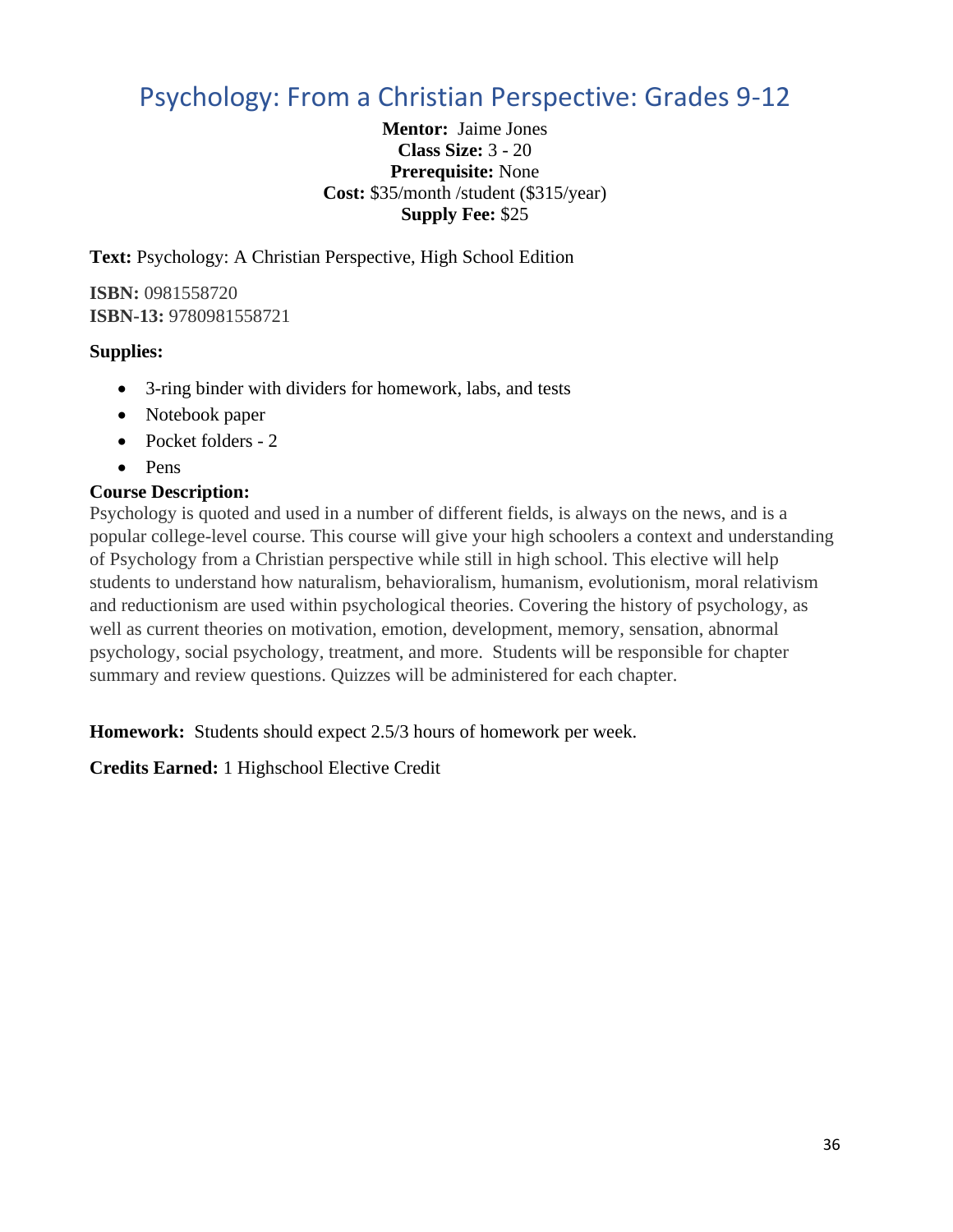## <span id="page-35-0"></span>Psychology: From a Christian Perspective: Grades 9-12

#### **Mentor:** Jaime Jones **Class Size:** 3 - 20 **Prerequisite:** None **Cost:** \$35/month /student (\$315/year) **Supply Fee:** \$25

**Text:** Psychology: A Christian Perspective, High School Edition

**ISBN:** 0981558720 **ISBN-13:** 9780981558721

#### **Supplies:**

- 3-ring binder with dividers for homework, labs, and tests
- Notebook paper
- Pocket folders 2
- Pens

#### **Course Description:**

Psychology is quoted and used in a number of different fields, is always on the news, and is a popular college-level course. This course will give your high schoolers a context and understanding of Psychology from a Christian perspective while still in high school. This elective will help students to understand how naturalism, behavioralism, humanism, evolutionism, moral relativism and reductionism are used within psychological theories. Covering the history of psychology, as well as current theories on motivation, emotion, development, memory, sensation, abnormal psychology, social psychology, treatment, and more. Students will be responsible for chapter summary and review questions. Quizzes will be administered for each chapter.

**Homework:** Students should expect 2.5/3 hours of homework per week.

**Credits Earned:** 1 Highschool Elective Credit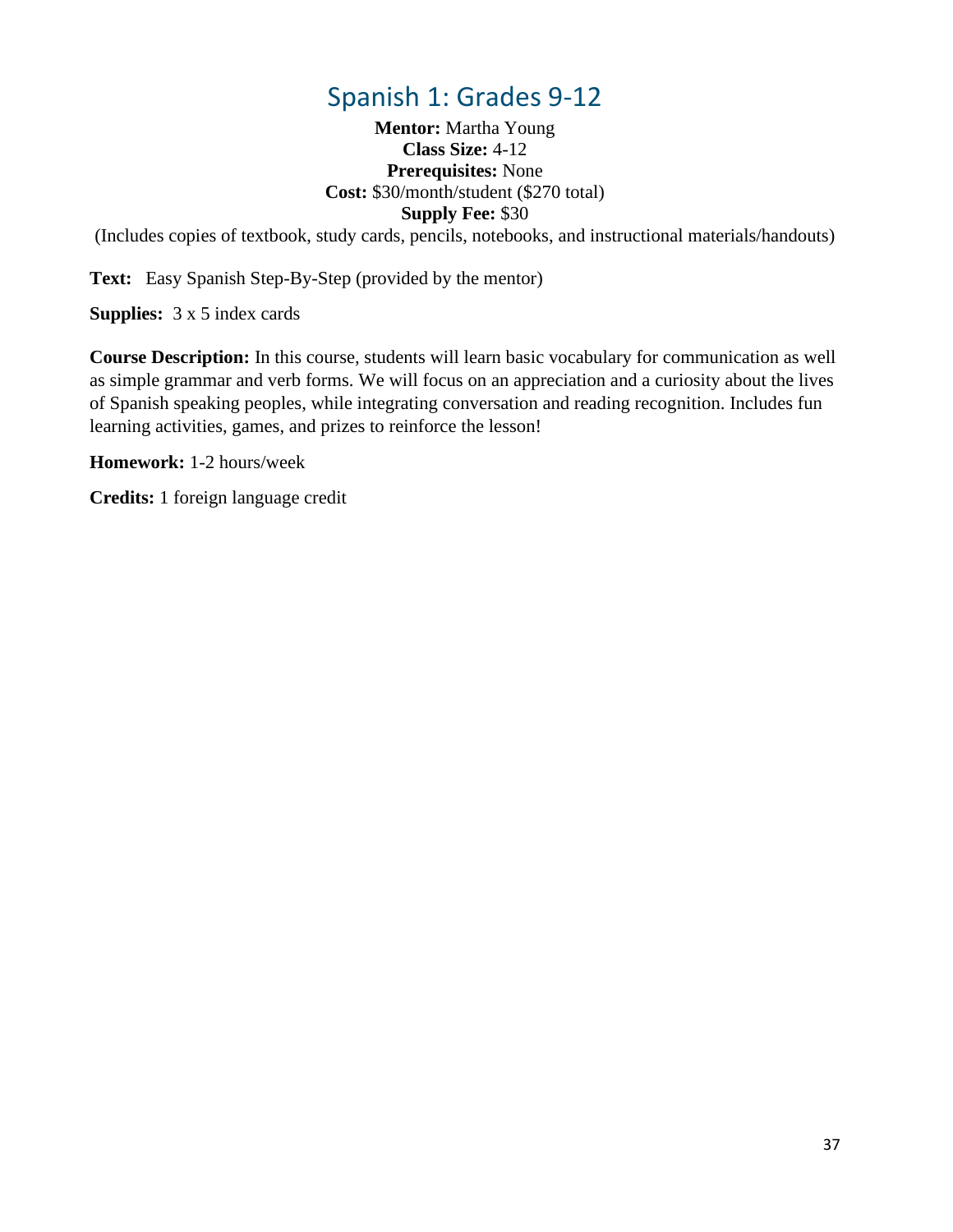## Spanish 1: Grades 9-12

#### **Mentor:** Martha Young **Class Size:** 4-12 **Prerequisites:** None **Cost:** \$30/month/student (\$270 total) **Supply Fee:** \$30

<span id="page-36-0"></span>(Includes copies of textbook, study cards, pencils, notebooks, and instructional materials/handouts)

**Text:** Easy Spanish Step-By-Step (provided by the mentor)

**Supplies:** 3 x 5 index cards

**Course Description:** In this course, students will learn basic vocabulary for communication as well as simple grammar and verb forms. We will focus on an appreciation and a curiosity about the lives of Spanish speaking peoples, while integrating conversation and reading recognition. Includes fun learning activities, games, and prizes to reinforce the lesson!

**Homework:** 1-2 hours/week

**Credits:** 1 foreign language credit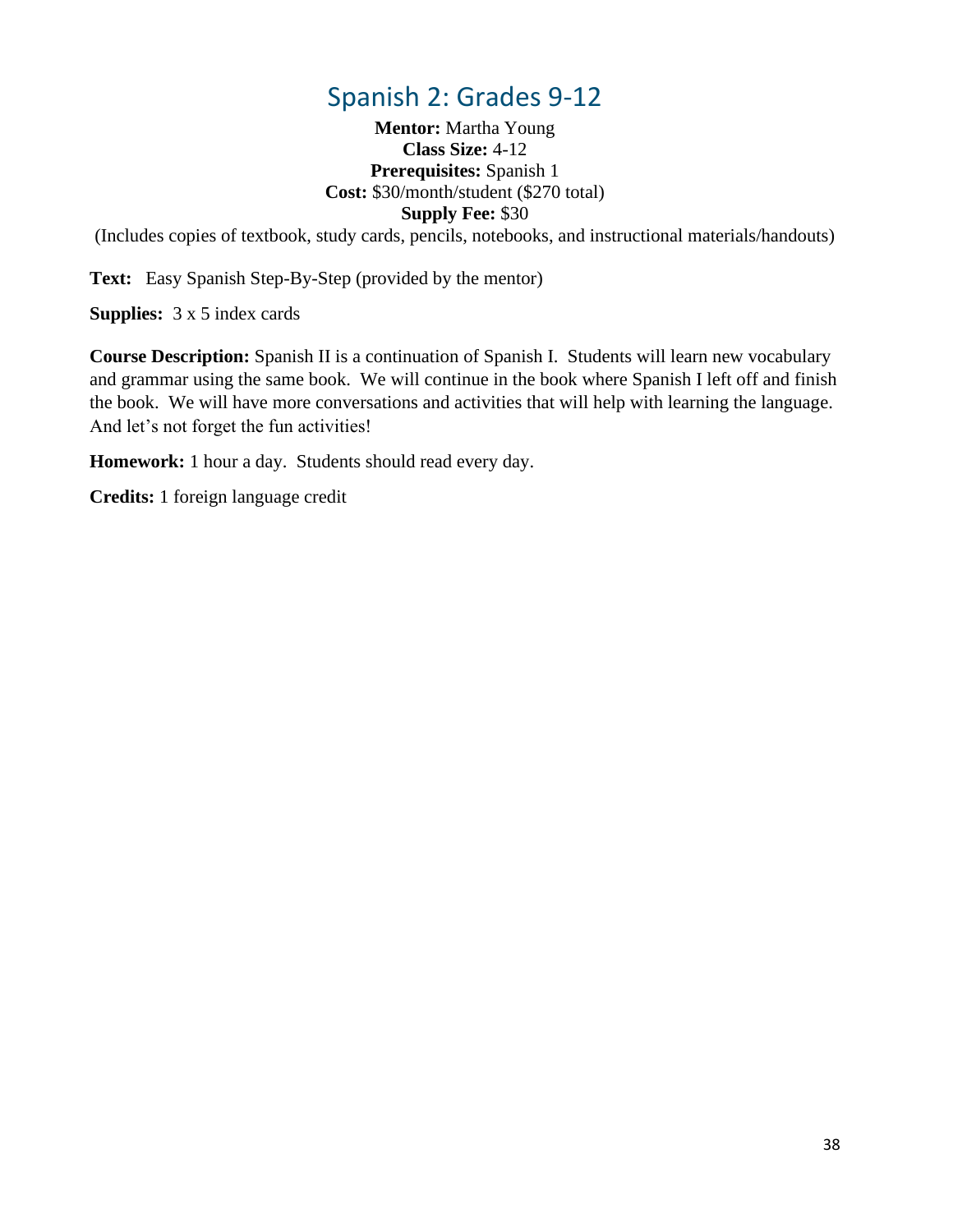## Spanish 2: Grades 9-12

#### **Mentor:** Martha Young **Class Size:** 4-12 **Prerequisites:** Spanish 1 **Cost:** \$30/month/student (\$270 total) **Supply Fee:** \$30

<span id="page-37-0"></span>(Includes copies of textbook, study cards, pencils, notebooks, and instructional materials/handouts)

**Text:** Easy Spanish Step-By-Step (provided by the mentor)

**Supplies:** 3 x 5 index cards

**Course Description:** Spanish II is a continuation of Spanish I. Students will learn new vocabulary and grammar using the same book. We will continue in the book where Spanish I left off and finish the book. We will have more conversations and activities that will help with learning the language. And let's not forget the fun activities!

**Homework:** 1 hour a day. Students should read every day.

**Credits:** 1 foreign language credit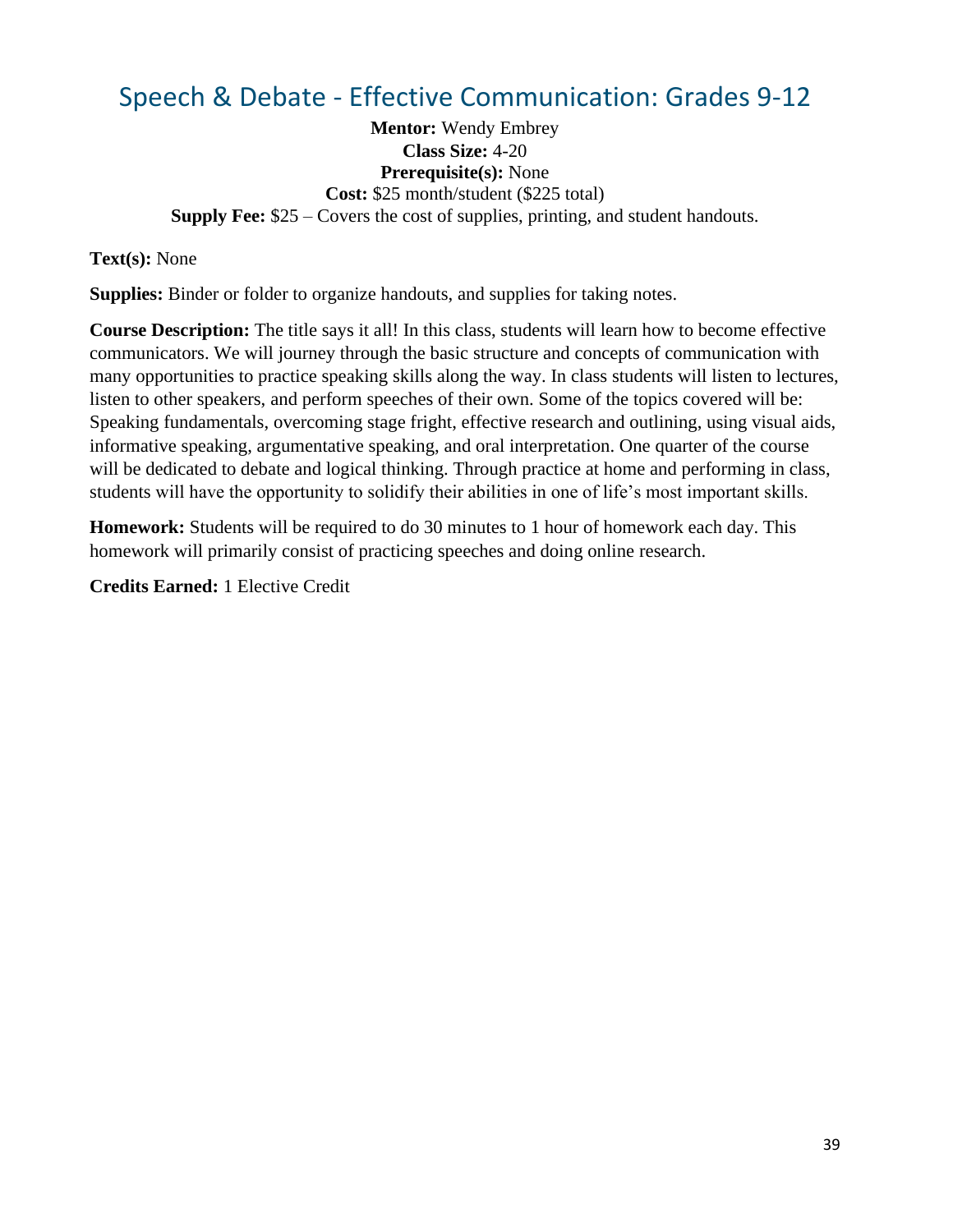## <span id="page-38-0"></span>Speech & Debate - Effective Communication: Grades 9-12

**Mentor:** Wendy Embrey **Class Size:** 4-20 **Prerequisite(s):** None **Cost:** \$25 month/student (\$225 total) **Supply Fee:** \$25 – Covers the cost of supplies, printing, and student handouts.

**Text(s):** None

**Supplies:** Binder or folder to organize handouts, and supplies for taking notes.

**Course Description:** The title says it all! In this class, students will learn how to become effective communicators. We will journey through the basic structure and concepts of communication with many opportunities to practice speaking skills along the way. In class students will listen to lectures, listen to other speakers, and perform speeches of their own. Some of the topics covered will be: Speaking fundamentals, overcoming stage fright, effective research and outlining, using visual aids, informative speaking, argumentative speaking, and oral interpretation. One quarter of the course will be dedicated to debate and logical thinking. Through practice at home and performing in class, students will have the opportunity to solidify their abilities in one of life's most important skills.

**Homework:** Students will be required to do 30 minutes to 1 hour of homework each day. This homework will primarily consist of practicing speeches and doing online research.

**Credits Earned:** 1 Elective Credit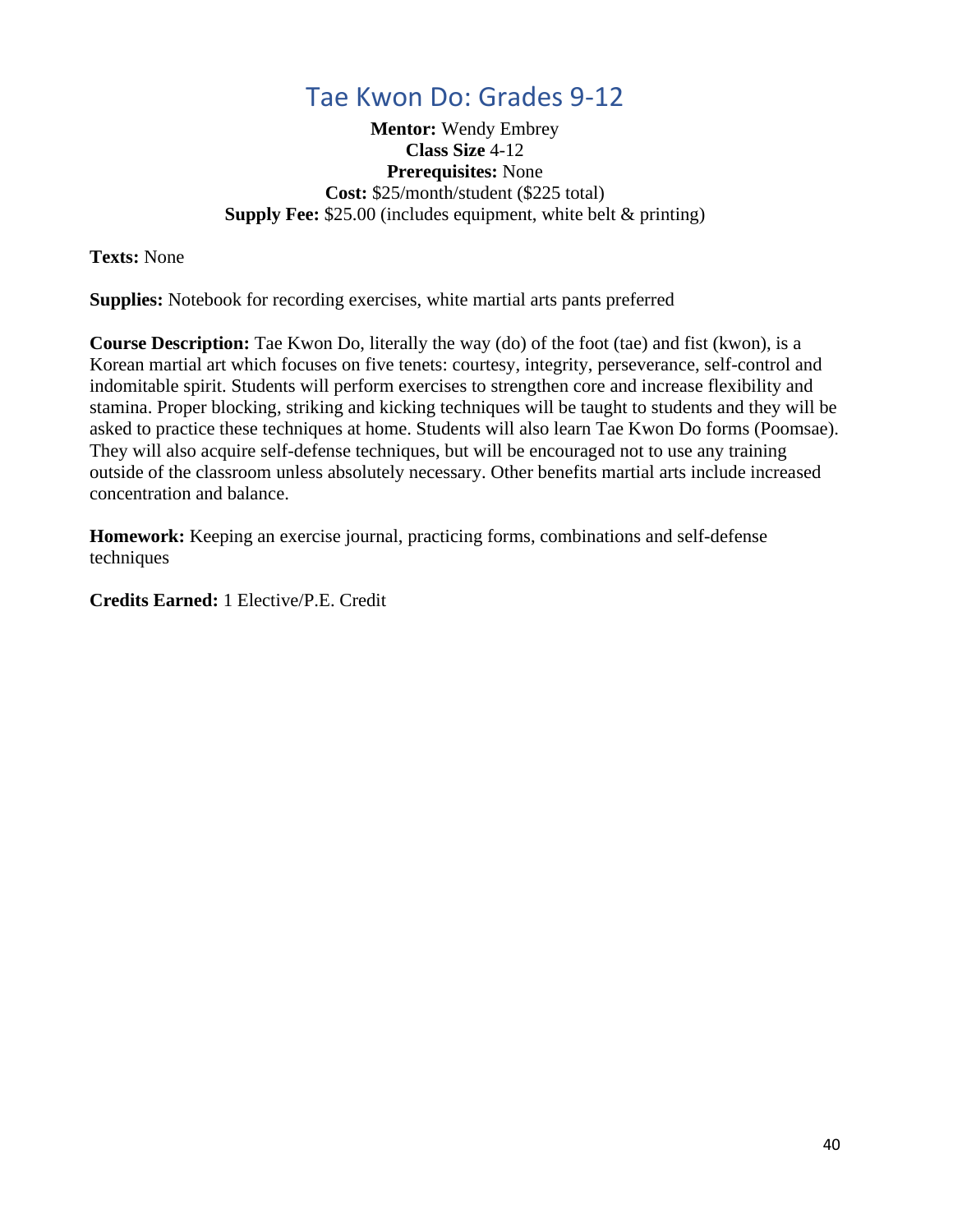## Tae Kwon Do: Grades 9-12

<span id="page-39-0"></span>**Mentor:** Wendy Embrey **Class Size** 4-12 **Prerequisites:** None **Cost:** \$25/month/student (\$225 total) **Supply Fee:** \$25.00 (includes equipment, white belt & printing)

**Texts:** None

**Supplies:** Notebook for recording exercises, white martial arts pants preferred

**Course Description:** Tae Kwon Do, literally the way (do) of the foot (tae) and fist (kwon), is a Korean martial art which focuses on five tenets: courtesy, integrity, perseverance, self-control and indomitable spirit. Students will perform exercises to strengthen core and increase flexibility and stamina. Proper blocking, striking and kicking techniques will be taught to students and they will be asked to practice these techniques at home. Students will also learn Tae Kwon Do forms (Poomsae). They will also acquire self-defense techniques, but will be encouraged not to use any training outside of the classroom unless absolutely necessary. Other benefits martial arts include increased concentration and balance.

**Homework:** Keeping an exercise journal, practicing forms, combinations and self-defense techniques

**Credits Earned:** 1 Elective/P.E. Credit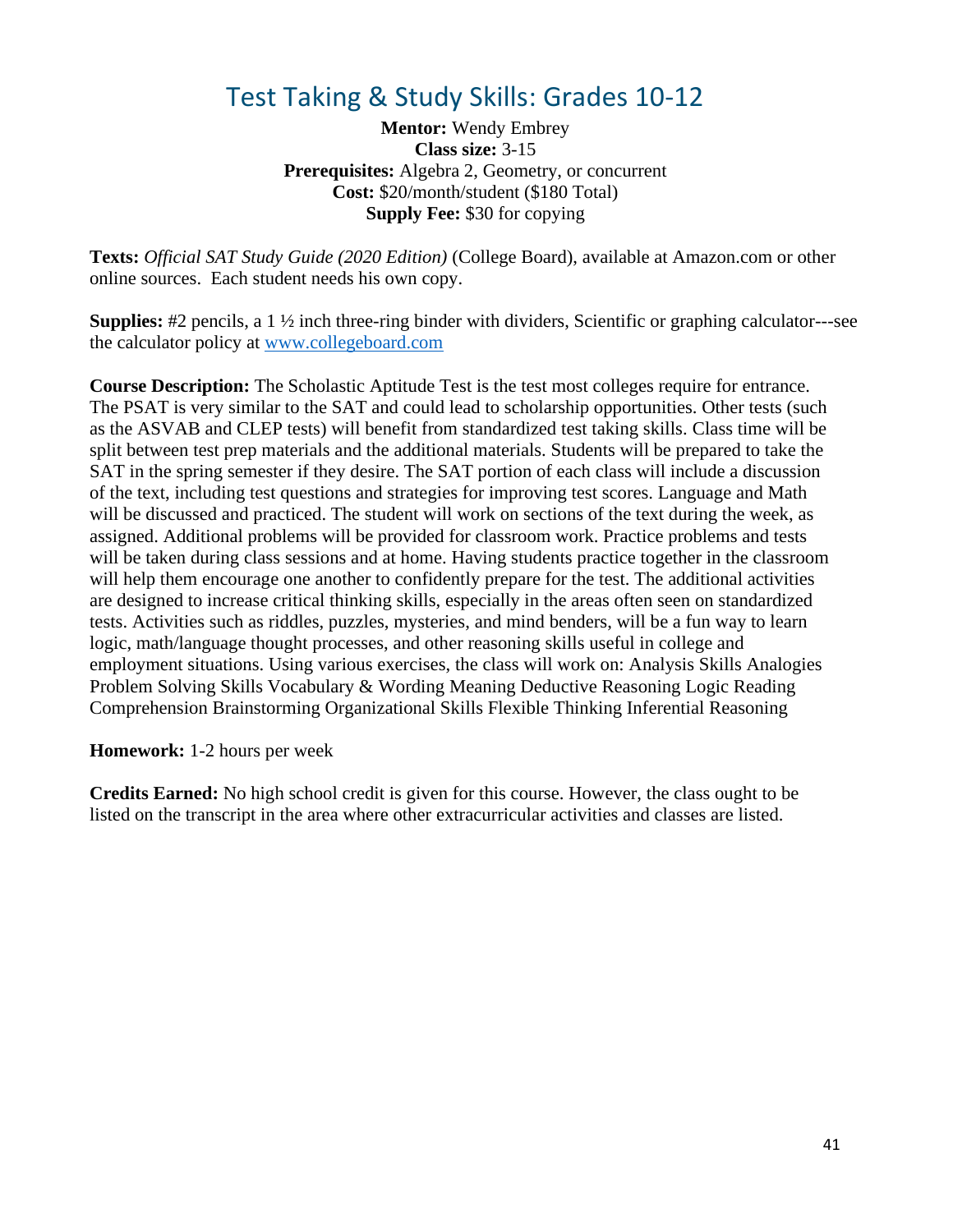## <span id="page-40-0"></span>Test Taking & Study Skills: Grades 10-12

**Mentor:** Wendy Embrey **Class size:** 3-15 **Prerequisites:** Algebra 2, Geometry, or concurrent **Cost:** \$20/month/student (\$180 Total) **Supply Fee:** \$30 for copying

**Texts:** *Official SAT Study Guide (2020 Edition)* (College Board), available at Amazon.com or other online sources. Each student needs his own copy.

**Supplies:** #2 pencils, a 1 ½ inch three-ring binder with dividers, Scientific or graphing calculator---see the calculator policy at [www.collegeboard.com](http://www.collegeboard.com/)

**Course Description:** The Scholastic Aptitude Test is the test most colleges require for entrance. The PSAT is very similar to the SAT and could lead to scholarship opportunities. Other tests (such as the ASVAB and CLEP tests) will benefit from standardized test taking skills. Class time will be split between test prep materials and the additional materials. Students will be prepared to take the SAT in the spring semester if they desire. The SAT portion of each class will include a discussion of the text, including test questions and strategies for improving test scores. Language and Math will be discussed and practiced. The student will work on sections of the text during the week, as assigned. Additional problems will be provided for classroom work. Practice problems and tests will be taken during class sessions and at home. Having students practice together in the classroom will help them encourage one another to confidently prepare for the test. The additional activities are designed to increase critical thinking skills, especially in the areas often seen on standardized tests. Activities such as riddles, puzzles, mysteries, and mind benders, will be a fun way to learn logic, math/language thought processes, and other reasoning skills useful in college and employment situations. Using various exercises, the class will work on: Analysis Skills Analogies Problem Solving Skills Vocabulary & Wording Meaning Deductive Reasoning Logic Reading Comprehension Brainstorming Organizational Skills Flexible Thinking Inferential Reasoning

**Homework:** 1-2 hours per week

**Credits Earned:** No high school credit is given for this course. However, the class ought to be listed on the transcript in the area where other extracurricular activities and classes are listed.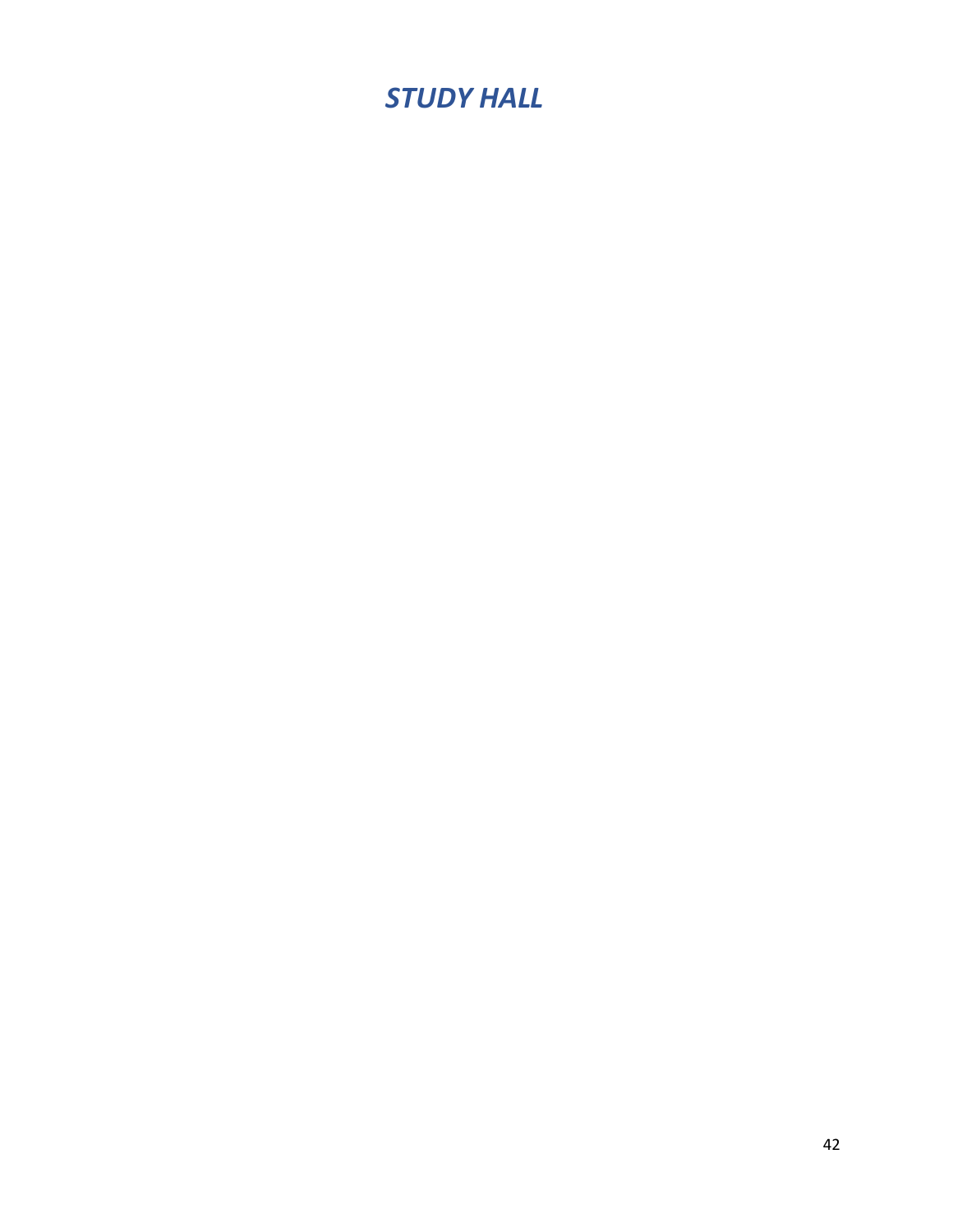## <span id="page-41-0"></span>*STUDY HALL*